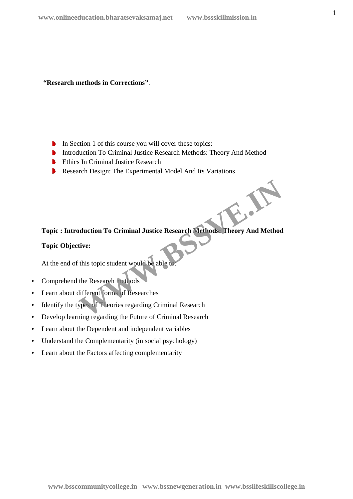**"Research methods in Corrections"**.

- In Section 1 of this course you will cover these topics:
- Introduction To Criminal Justice Research Methods: Theory And Method
- **Ethics In Criminal Justice Research**
- **Research Design: The Experimental Model And Its Variations**

## **Topic : Introduction To Criminal Justice Research Methods: Theory And Method** Multion To Criminal Justice Research Methods. Theory And Method<br>tive:<br>this topic student work be able to:<br>the Research methods<br>different forms of Researches<br>ppes of Theories regarding Criminal Research<br>ning regarding the F

### **Topic Objective:**

At the end of this topic student would be able

- Comprehend the Research methods
- Learn about different forms of Researches
- Identify the types of Theories regarding Criminal Research
- Develop learning regarding the Future of Criminal Research
- Learn about the Dependent and independent variables
- Understand the Complementarity (in social psychology)
- Learn about the Factors affecting complementarity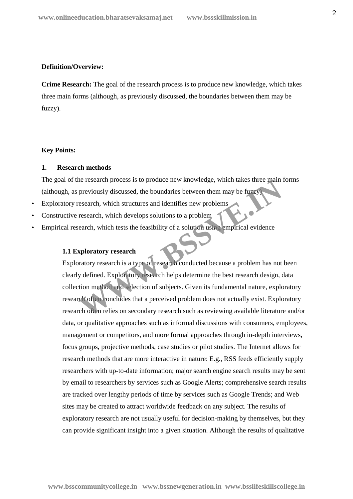### **Definition/Overview:**

**Crime Research:** The goal of the research process is to produce new knowledge, which takes three main forms (although, as previously discussed, the boundaries between them may be fuzzy).

### **Key Points:**

### **1. Research methods**

The goal of the research process is to produce new knowledge, which takes three main forms (although, as previously discussed, the boundaries between them may be fuzzy)

- Exploratory research, which structures and identifies new problems
- Constructive research, which develops solutions to a problem
- Empirical research, which tests the feasibility of a solution using empirical evidence

### **1.1 Exploratory research**

Exploratory research is a type of research conducted because a problem has not been clearly defined. Exploratory research helps determine the best research design, data collection method and selection of subjects. Given its fundamental nature, exploratory research often concludes that a perceived problem does not actually exist. Exploratory research often relies on secondary research such as reviewing available literature and/or data, or qualitative approaches such as informal discussions with consumers, employees, management or competitors, and more formal approaches through in-depth interviews, focus groups, projective methods, case studies or pilot studies. The Internet allows for research methods that are more interactive in nature: E.g., RSS feeds efficiently supply researchers with up-to-date information; major search engine search results may be sent by email to researchers by services such as Google Alerts; comprehensive search results are tracked over lengthy periods of time by services such as Google Trends; and Web sites may be created to attract worldwide feedback on any subject. The results of exploratory research are not usually useful for decision-making by themselves, but they can provide significant insight into a given situation. Although the results of qualitative The research process is to produce hew knowledge, which takes three main<br>previously discussed, the boundaries between them may be fuzzy<br>research, which structures and identifies new problems<br>research, which tests the feasi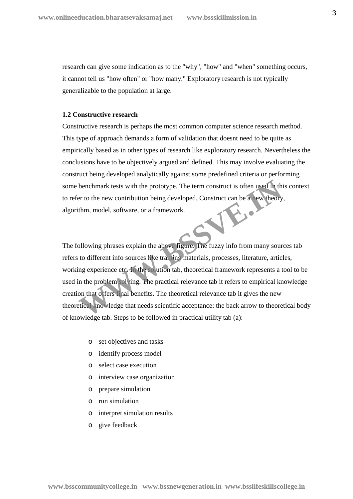research can give some indication as to the "why", "how" and "when" something occurs, it cannot tell us "how often" or "how many." Exploratory research is not typically generalizable to the population at large.

### **1.2 Constructive research**

Constructive research is perhaps the most common computer science research method. This type of approach demands a form of validation that doesnt need to be quite as empirically based as in other types of research like exploratory research. Nevertheless the conclusions have to be objectively argued and defined. This may involve evaluating the construct being developed analytically against some predefined criteria or performing some benchmark tests with the prototype. The term construct is often used in this context to refer to the new contribution being developed. Construct can be a new theory, algorithm, model, software, or a framework. algorithm, model, software, or a framework.

The following phrases explain the above figure. The fuzzy info from many sources tab refers to different info sources like training materials, processes, literature, articles, working experience etc. In the solution tab, theoretical framework represents a tool to be used in the problem solving. The practical relevance tab it refers to empirical knowledge creation that offers final benefits. The theoretical relevance tab it gives the new theoretical knowledge that needs scientific acceptance: the back arrow to theoretical body of knowledge tab. Steps to be followed in practical utility tab (a): benchmark tests with the prototype. The term construct is often used in the<br>per to the new contribution being developed. Construct can be a new theory<br>thm, model, software, or a framework.<br>Dillowing phrases explain the abo

- o set objectives and tasks
- o identify process model
- o select case execution
- o interview case organization
- o prepare simulation
- o run simulation
- o interpret simulation results
- o give feedback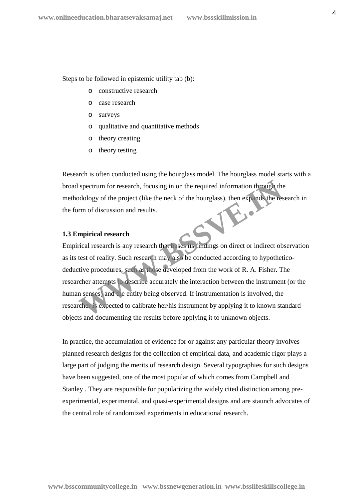Steps to be followed in epistemic utility tab (b):

- o constructive research
- o case research
- o surveys
- o qualitative and quantitative methods
- o theory creating
- o theory testing

Research is often conducted using the hourglass model. The hourglass model starts with a broad spectrum for research, focusing in on the required information through the methodology of the project (like the neck of the hourglass), then expands the research in<br>the form of discussion and results.<br>1.3 Emnirical recent in the form of discussion and results.

### **1.3 Empirical research**

Empirical research is any research that bases its findings on direct or indirect observation as its test of reality. Such research may also be conducted according to hypothetico deductive procedures, such as those developed from the work of R. A. Fisher. The researcher attempts to describe accurately the interaction between the instrument (or the human senses) and the entity being observed. If instrumentation is involved, the researcher is expected to calibrate her/his instrument by applying it to known standard objects and documenting the results before applying it to unknown objects. spectrum for research, focusing in on the required information through the<br>dology of the project (like the neck of the hourglass), then expands the rest<br>arm of discussion and results.<br>**Multiple is and the search that bases** 

In practice, the accumulation of evidence for or against any particular theory involves planned research designs for the collection of empirical data, and academic rigor plays a large part of judging the merits of research design. Several typographies for such designs have been suggested, one of the most popular of which comes from Campbell and Stanley . They are responsible for popularizing the widely cited distinction among pre experimental, experimental, and quasi-experimental designs and are staunch advocates of the central role of randomized experiments in educational research.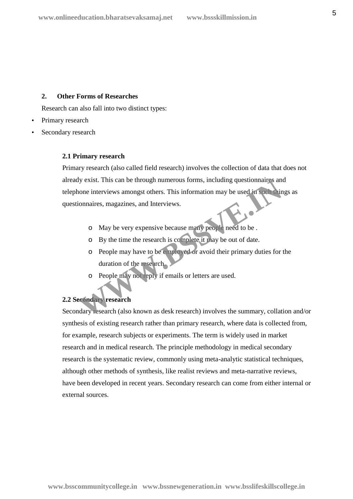### **2. Other Forms of Researches**

Research can also fall into two distinct types:

- Primary research
- Secondary research

### **2.1 Primary research**

Primary research (also called field research) involves the collection of data that does not already exist. This can be through numerous forms, including questionnaires and telephone interviews amongst others. This information may be used in such things as questionnaires, magazines, and Interviews. Wexist. This can be through numerous forms, including questionnaires and<br>ionnaires, magazines, and Interviews.<br>
O May be very expensive because many people need to be.<br>
O May be very expensive because many people need to b

- o May be very expensive because many people need to be .
- o By the time the research is complete it may be out of date.
- o People may have to be employed or avoid their primary duties for the duration of the research.
- o People may not reply if emails or letters are used.

### **2.2 Secondary research**

Secondary research (also known as desk research) involves the summary, collation and/or synthesis of existing research rather than primary research, where data is collected from, for example, research subjects or experiments. The term is widely used in market research and in medical research. The principle methodology in medical secondary research is the systematic review, commonly using meta-analytic statistical techniques, although other methods of synthesis, like realist reviews and meta-narrative reviews, have been developed in recent years. Secondary research can come from either internal or external sources.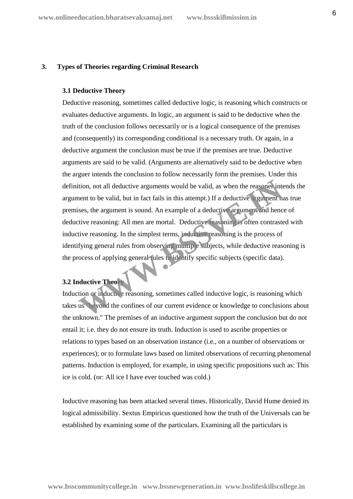### **3. Types of Theories regarding Criminal Research**

### **3.1 Deductive Theory**

Deductive reasoning, sometimes called deductive logic, is reasoning which constructs or evaluates deductive arguments. In logic, an argument is said to be deductive when the truth of the conclusion follows necessarily or is a logical consequence of the premises and (consequently) its corresponding conditional is a necessary truth. Or again, in a deductive argument the conclusion must be true if the premises are true. Deductive arguments are said to be valid. (Arguments are alternatively said to be deductive when the arguer intends the conclusion to follow necessarily form the premises. Under this definition, not all deductive arguments would be valid, as when the reasoner intends the argument to be valid, but in fact fails in this attempt.) If a deductive argument has true premises, the argument is sound. An example of a deductive argument and hence of deductive reasoning: All men are mortal. Deductive reasoning is often contrasted with inductive reasoning. In the simplest terms, inductive reasoning is the process of identifying general rules from observing multiple subjects, while deductive reasoning is the process of applying general rules to identify specific subjects (specific data). tion, not all deductive arguments would be valid, as when the reasoner internet to be valid, but in fact fails in this attempt.) If a deductive argument a ses, the argument is sound. An example of a deductive argument and

### **3.2 Inductive Theory**

Induction or inductive reasoning, sometimes called inductive logic, is reasoning which takes us "beyond the confines of our current evidence or knowledge to conclusions about the unknown." The premises of an inductive argument support the conclusion but do not entail it; i.e. they do not ensure its truth. Induction is used to ascribe properties or relations to types based on an observation instance (i.e., on a number of observations or experiences); or to formulate laws based on limited observations of recurring phenomenal patterns. Induction is employed, for example, in using specific propositions such as: This ice is cold. (or: All ice I have ever touched was cold.)

Inductive reasoning has been attacked several times. Historically, David Hume denied its logical admissibility. Sextus Empiricus questioned how the truth of the Universals can be established by examining some of the particulars. Examining all the particulars is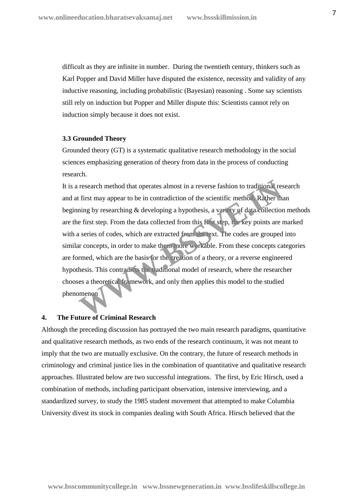difficult as they are infinite in number. During the twentieth century, thinkers such as Karl Popper and David Miller have disputed the existence, necessity and validity of any inductive reasoning, including probabilistic (Bayesian) reasoning . Some say scientists still rely on induction but Popper and Miller dispute this: Scientists cannot rely on induction simply because it does not exist.

### **3.3 Grounded Theory**

Grounded theory (GT) is a systematic qualitative research methodology in the social sciences emphasizing generation of theory from data in the process of conducting research.

It is a research method that operates almost in a reverse fashion to traditional research and at first may appear to be in contradiction of the scientific method. Rather than beginning by researching & developing a hypothesis, a variety of data collection methods are the first step. From the data collected from this first step, the key points are marked with a series of codes, which are extracted from the text. The codes are grouped into similar concepts, in order to make them more workable. From these concepts categories are formed, which are the basis for the creation of a theory, or a reverse engineered hypothesis. This contradicts the traditional model of research, where the researcher chooses a theoretical framework, and only then applies this model to the studied phenomenon research method that operates almost in a reverse fashion to traditional research method that operates almost in a reverse fashion to traditional researching by researching & developing a hypothesis, a varie **w**) of data c

### **4. The Future of Criminal Research**

Although the preceding discussion has portrayed the two main research paradigms, quantitative and qualitative research methods, as two ends of the research continuum, it was not meant to imply that the two are mutually exclusive. On the contrary, the future of research methods in criminology and criminal justice lies in the combination of quantitative and qualitative research approaches. Illustrated below are two successful integrations. The first, by Eric Hirsch, used a combination of methods, including participant observation, intensive interviewing, and a standardized survey, to study the 1985 student movement that attempted to make Columbia University divest its stock in companies dealing with South Africa. Hirsch believed that the

7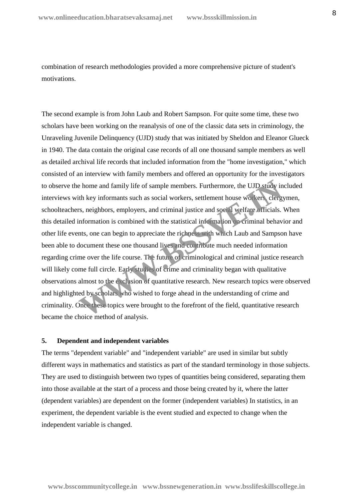combination of research methodologies provided a more comprehensive picture of student's motivations.

The second example is from John Laub and Robert Sampson. For quite some time, these two scholars have been working on the reanalysis of one of the classic data sets in criminology, the Unraveling Juvenile Delinquency (UJD) study that was initiated by Sheldon and Eleanor Glueck in 1940. The data contain the original case records of all one thousand sample members as well as detailed archival life records that included information from the "home investigation," which consisted of an interview with family members and offered an opportunity for the investigators to observe the home and family life of sample members. Furthermore, the UJD study included interviews with key informants such as social workers, settlement house workers, clergymen, schoolteachers, neighbors, employers, and criminal justice and social welfare officials. When this detailed information is combined with the statistical information on criminal behavior and other life events, one can begin to appreciate the richness with which Laub and Sampson have been able to document these one thousand lives and contribute much needed information regarding crime over the life course. The future of criminological and criminal justice research will likely come full circle. Early studies of crime and criminality began with qualitative observations almost to the exclusion of quantitative research. New research topics were observed and highlighted by scholars who wished to forge ahead in the understanding of crime and criminality. Once these topics were brought to the forefront of the field, quantitative research became the choice method of analysis. E home and family life of sample members. Furthermore, the UJD study in<br>th key informants such as social workers, settlement house workers, clerg<br>rs, neighbors, employers, and criminal justice and social velfare. Officials

### **5. Dependent and independent variables**

The terms "dependent variable" and "independent variable" are used in similar but subtly different ways in mathematics and statistics as part of the standard terminology in those subjects. They are used to distinguish between two types of quantities being considered, separating them into those available at the start of a process and those being created by it, where the latter (dependent variables) are dependent on the former (independent variables) In statistics, in an experiment, the dependent variable is the event studied and expected to change when the independent variable is changed.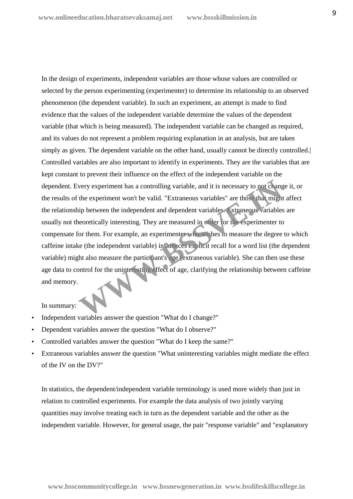In the design of experiments, independent variables are those whose values are controlled or selected by the person experimenting (experimenter) to determine its relationship to an observed phenomenon (the dependent variable). In such an experiment, an attempt is made to find evidence that the values of the independent variable determine the values of the dependent variable (that which is being measured). The independent variable can be changed as required, and its values do not represent a problem requiring explanation in an analysis, but are taken simply as given. The dependent variable on the other hand, usually cannot be directly controlled.| Controlled variables are also important to identify in experiments. They are the variables that are kept constant to prevent their influence on the effect of the independent variable on the dependent. Every experiment has a controlling variable, and it is necessary to not change it, or the results of the experiment won't be valid. "Extraneous variables" are those that might affect the relationship between the independent and dependent variables. Extraneous variables are usually not theoretically interesting. They are measured in order for the experimenter to compensate for them. For example, an experimenter who wishes to measure the degree to which caffeine intake (the independent variable) influences explicit recall for a word list (the dependent variable) might also measure the participant's age (extraneous variable). She can then use these age data to control for the uninteresting effect of age, clarifying the relationship between caffeine and memory. Figure 1993 What do I change?"<br>
Were the experiment won't be valid. "Extraneous variables" are those that might<br>
the experiment won't be valid. "Extraneous variables" are those that might<br>
inp between the independent and d

In summary:

- Independent variables answer the question "What do I change?"
- Dependent variables answer the question "What do I observe?"
- Controlled variables answer the question "What do I keep the same?"
- Extraneous variables answer the question "What uninteresting variables might mediate the effect of the IV on the DV?"

In statistics, the dependent/independent variable terminology is used more widely than just in relation to controlled experiments. For example the data analysis of two jointly varying quantities may involve treating each in turn as the dependent variable and the other as the independent variable. However, for general usage, the pair "response variable" and "explanatory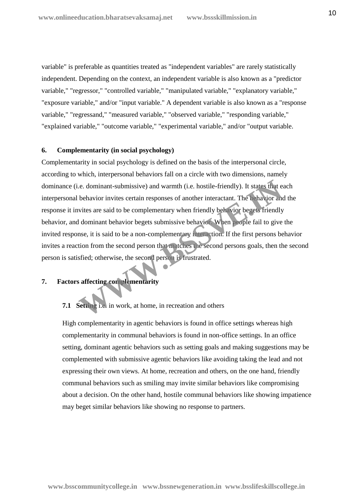variable" is preferable as quantities treated as "independent variables" are rarely statistically independent. Depending on the context, an independent variable is also known as a "predictor variable," "regressor," "controlled variable," "manipulated variable," "explanatory variable," "exposure variable," and/or "input variable." A dependent variable is also known as a "response variable," "regressand," "measured variable," "observed variable," "responding variable," "explained variable," "outcome variable," "experimental variable," and/or "output variable.

### **6. Complementarity (in social psychology)**

Complementarity in social psychology is defined on the basis of the interpersonal circle, according to which, interpersonal behaviors fall on a circle with two dimensions, namely dominance (i.e. dominant-submissive) and warmth (i.e. hostile-friendly). It states that each interpersonal behavior invites certain responses of another interactant. The behavior and the response it invites are said to be complementary when friendly behavior begets friendly behavior, and dominant behavior begets submissive behavior. When people fail to give the invited response, it is said to be a non-complementary interaction. If the first persons behavior invites a reaction from the second person that matches the second persons goals, then the second person is satisfied; otherwise, the second person is frustrated. **Examplementary and Solution** Check that example the behavior invites certain responses of another interactant. The behavior and vites are said to be complementary when friendly behavior begets friendly dominant behavior b

### **7. Factors affecting complementarity**

### **7.1 Setting** i.e. in work, at home, in recreation and others

High complementarity in agentic behaviors is found in office settings whereas high complementarity in communal behaviors is found in non-office settings. In an office setting, dominant agentic behaviors such as setting goals and making suggestions may be complemented with submissive agentic behaviors like avoiding taking the lead and not expressing their own views. At home, recreation and others, on the one hand, friendly communal behaviors such as smiling may invite similar behaviors like compromising about a decision. On the other hand, hostile communal behaviors like showing impatience may beget similar behaviors like showing no response to partners.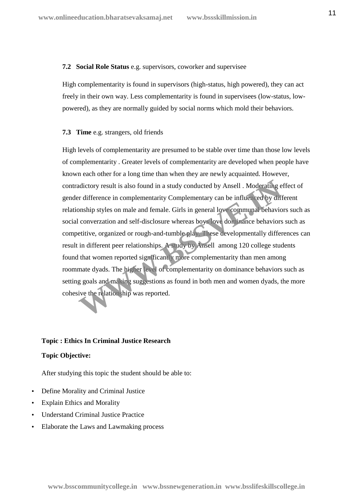### **7.2 Social Role Status** e.g. supervisors, coworker and supervisee

High complementarity is found in supervisors (high-status, high powered), they can act freely in their own way. Less complementarity is found in supervisees (low-status, low powered), as they are normally guided by social norms which mold their behaviors.

### **7.3 Time** e.g. strangers, old friends

High levels of complementarity are presumed to be stable over time than those low levels of complementarity . Greater levels of complementarity are developed when people have known each other for a long time than when they are newly acquainted. However, contradictory result is also found in a study conducted by Ansell . Moderating effect of gender difference in complementarity Complementary can be influenced by different relationship styles on male and female. Girls in general love communal behaviors such as social converzation and self-disclosure whereas boys love dominance behaviors such as competitive, organized or rough-and-tumble play. These developmentally differences can result in different peer relationships. A study by Ansell among 120 college students found that women reported significantly more complementarity than men among roommate dyads. The higher level of complementarity on dominance behaviors such as setting goals and making suggestions as found in both men and women dyads, the more cohesive the relationship was reported. adictory result is also found in a study conducted by Ansell . Moderating e<br>
r difference in complementarity Complementary can be influenced by diff<br>
moship styles on male and female. Girls in general love communal behavio

### **Topic : Ethics In Criminal Justice Research**

### **Topic Objective:**

After studying this topic the student should be able to:

- Define Morality and Criminal Justice
- Explain Ethics and Morality
- Understand Criminal Justice Practice
- Elaborate the Laws and Lawmaking process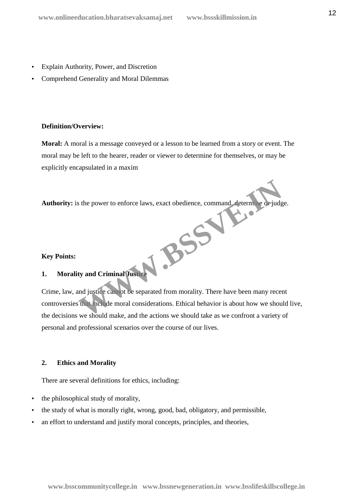- Explain Authority, Power, and Discretion
- Comprehend Generality and Moral Dilemmas

### **Definition/Overview:**

**Moral:** A moral is a message conveyed or a lesson to be learned from a story or event. The moral may be left to the hearer, reader or viewer to determine for themselves, or may be explicitly encapsulated in a maxim

**Authority:** is the power to enforce laws, exact obedience, command, determine or judge. **WWW.BSSVE.IN**

### **Key Points:**

## **1. Morality and Criminal Justice**

Crime, law, and justice cannot be separated from morality. There have been many recent controversies that include moral considerations. Ethical behavior is about how we should live, the decisions we should make, and the actions we should take as we confront a variety of personal and professional scenarios over the course of our lives.

### **2. Ethics and Morality**

There are several definitions for ethics, including:

- the philosophical study of morality,
- the study of what is morally right, wrong, good, bad, obligatory, and permissible,
- an effort to understand and justify moral concepts, principles, and theories,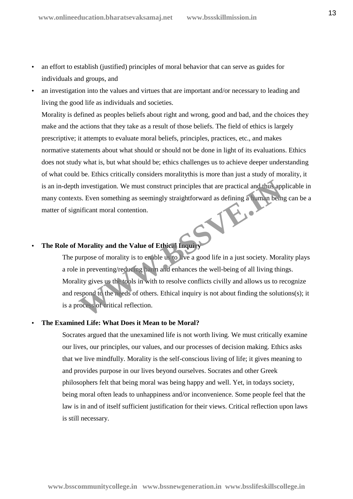- an effort to establish (justified) principles of moral behavior that can serve as guides for individuals and groups, and
- an investigation into the values and virtues that are important and/or necessary to leading and living the good life as individuals and societies.

Morality is defined as peoples beliefs about right and wrong, good and bad, and the choices they make and the actions that they take as a result of those beliefs. The field of ethics is largely prescriptive; it attempts to evaluate moral beliefs, principles, practices, etc., and makes normative statements about what should or should not be done in light of its evaluations. Ethics does not study what is, but what should be; ethics challenges us to achieve deeper understanding of what could be. Ethics critically considers moralitythis is more than just a study of morality, it is an in-depth investigation. We must construct principles that are practical and thus applicable in many contexts. Even something as seemingly straightforward as defining a human being can be a<br>matter of significant moral contention. matter of significant moral contention.

## **The Role of Morality and the Value of Ethical Inquiry**

The purpose of morality is to enable us to live a good life in a just society. Morality plays a role in preventing/reducing harm and enhances the well-being of all living things. Morality gives us the tools in with to resolve conflicts civilly and allows us to recognize and respond to the needs of others. Ethical inquiry is not about finding the solutions(s); it is a process of critical reflection. The investigation. We must construct principles that are practical and thus apptabate is the solution of the seeding a seemingly straightforward as defining a muman behavior of morality and the Value of Ethical Inquiry.<br>

### **The Examined Life: What Does it Mean to be Moral?**

Socrates argued that the unexamined life is not worth living. We must critically examine our lives, our principles, our values, and our processes of decision making. Ethics asks that we live mindfully. Morality is the self-conscious living of life; it gives meaning to and provides purpose in our lives beyond ourselves. Socrates and other Greek philosophers felt that being moral was being happy and well. Yet, in todays society, being moral often leads to unhappiness and/or inconvenience. Some people feel that the law is in and of itself sufficient justification for their views. Critical reflection upon laws is still necessary.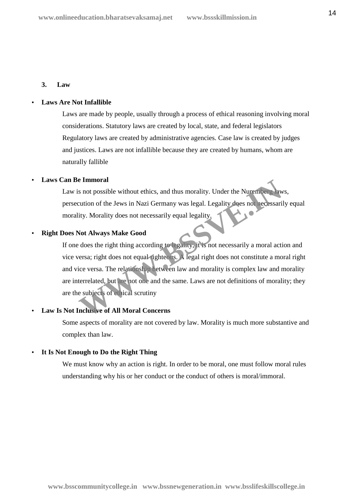### **3. Law**

### **Laws Are Not Infallible**

Laws are made by people, usually through a process of ethical reasoning involving moral considerations. Statutory laws are created by local, state, and federal legislators Regulatory laws are created by administrative agencies. Case law is created by judges and justices. Laws are not infallible because they are created by humans, whom are naturally fallible

### **Laws Can Be Immoral**

Law is not possible without ethics, and thus morality. Under the Nuremberg laws, persecution of the Jews in Nazi Germany was legal. Legality does not necessarily equal morality. Morality does not necessarily equal legality.

### **Right Does Not Always Make Good**

If one does the right thing according to legality, it is not necessarily a moral action and vice versa; right does not equal righteous. A legal right does not constitute a moral right and vice versa. The relationship between law and morality is complex law and morality are interrelated, but are not one and the same. Laws are not definitions of morality; they are the subjects of ethical scrutiny **EXERCISE SERVIE IS and thus morality.** Under the Nurember Taw<br>
were to possible without ethics, and thus morality. Under the Nurember Taw<br>
were to the Jews in Nazi Germany was legal. Legality does not necessari<br>
ity. Mora

### **Law Is Not Inclusive of All Moral Concerns**

Some aspects of morality are not covered by law. Morality is much more substantive and complex than law.

### **It Is Not Enough to Do the Right Thing**

We must know why an action is right. In order to be moral, one must follow moral rules understanding why his or her conduct or the conduct of others is moral/immoral.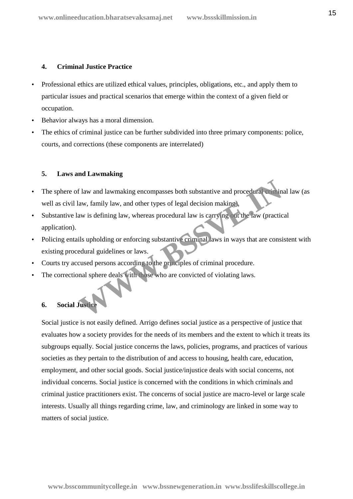### **4. Criminal Justice Practice**

- Professional ethics are utilized ethical values, principles, obligations, etc., and apply them to particular issues and practical scenarios that emerge within the context of a given field or occupation.
- Behavior always has a moral dimension.
- The ethics of criminal justice can be further subdivided into three primary components: police, courts, and corrections (these components are interrelated)

### **5. Laws and Lawmaking**

- The sphere of law and lawmaking encompasses both substantive and procedural criminal law (as well as civil law, family law, and other types of legal decision making).
- Substantive law is defining law, whereas procedural law is carrying out the law (practical application). The state of legal decision making and procedural criminal aw, family law, and other types of legal decision making.<br>
We also defining law, whereas procedural law is carrying out the law (practic<br>
ils upholding or enforcin
- Policing entails upholding or enforcing substantive criminal laws in ways that are consistent with existing procedural guidelines or laws.
- Courts try accused persons according to the principles of criminal procedure.
- The correctional sphere deals with those who are convicted of violating laws.

### **6. Social Justice**

Social justice is not easily defined. Arrigo defines social justice as a perspective of justice that evaluates how a society provides for the needs of its members and the extent to which it treats its subgroups equally. Social justice concerns the laws, policies, programs, and practices of various societies as they pertain to the distribution of and access to housing, health care, education, employment, and other social goods. Social justice/injustice deals with social concerns, not individual concerns. Social justice is concerned with the conditions in which criminals and criminal justice practitioners exist. The concerns of social justice are macro-level or large scale interests. Usually all things regarding crime, law, and criminology are linked in some way to matters of social justice.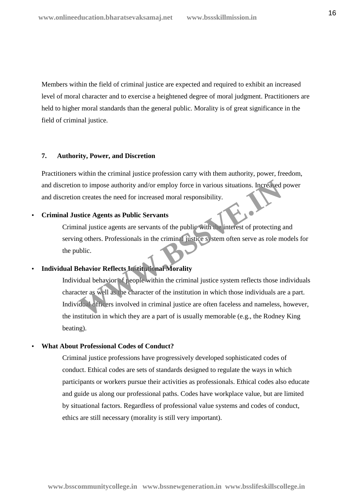Members within the field of criminal justice are expected and required to exhibit an increased level of moral character and to exercise a heightened degree of moral judgment. Practitioners are held to higher moral standards than the general public. Morality is of great significance in the field of criminal justice.

### **7. Authority, Power, and Discretion**

Practitioners within the criminal justice profession carry with them authority, power, freedom, and discretion to impose authority and/or employ force in various situations. Increased power and discretion creates the need for increased moral responsibility.

### **Criminal Justice Agents as Public Servants**

Criminal justice agents are servants of the public with the interest of protecting and serving others. Professionals in the criminal justice system often serve as role models for the public.

## **Individual Behavior Reflects Institutional Morality**

Individual behavior of people within the criminal justice system reflects those individuals character as well as the character of the institution in which those individuals are a part. Individual officers involved in criminal justice are often faceless and nameless, however, the institution in which they are a part of is usually memorable (e.g., the Rodney King beating). In to impose authority and/or employ force in various situations. Increased<br>
In creates the need for increased moral responsibility.<br> **Stice Agents as Public Servants**<br>
In justice agents are servants of the public with the

### **What About Professional Codes of Conduct?**

Criminal justice professions have progressively developed sophisticated codes of conduct. Ethical codes are sets of standards designed to regulate the ways in which participants or workers pursue their activities as professionals. Ethical codes also educate and guide us along our professional paths. Codes have workplace value, but are limited by situational factors. Regardless of professional value systems and codes of conduct, ethics are still necessary (morality is still very important).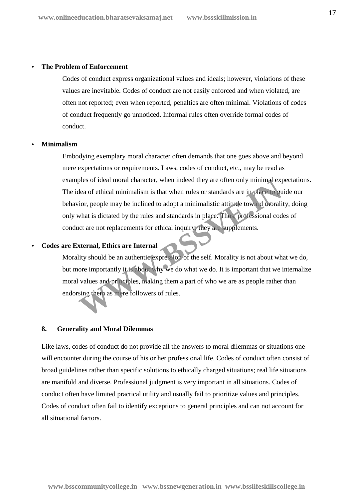### **The Problem of Enforcement**

Codes of conduct express organizational values and ideals; however, violations of these values are inevitable. Codes of conduct are not easily enforced and when violated, are often not reported; even when reported, penalties are often minimal. Violations of codes of conduct frequently go unnoticed. Informal rules often override formal codes of conduct.

### **Minimalism**

Embodying exemplary moral character often demands that one goes above and beyond mere expectations or requirements. Laws, codes of conduct, etc., may be read as examples of ideal moral character, when indeed they are often only minimal expectations. The idea of ethical minimalism is that when rules or standards are in place to guide our behavior, people may be inclined to adopt a minimalistic attitude toward morality, doing only what is dictated by the rules and standards in place. Thus, professional codes of conduct are not replacements for ethical inquiry; they are supplements. ples or ideal moral character, when indeed they are often only minimal expleas of ethical minimalism is that when rules or standards are in place. Only it is dictated by the rules and standards in place. Thus professional

### **Codes are External, Ethics are Internal**

Morality should be an authentic expression of the self. Morality is not about what we do, but more importantly it is about why we do what we do. It is important that we internalize moral values and principles, making them a part of who we are as people rather than endorsing them as mere followers of rules.

### **8. Generality and Moral Dilemmas**

Like laws, codes of conduct do not provide all the answers to moral dilemmas or situations one will encounter during the course of his or her professional life. Codes of conduct often consist of broad guidelines rather than specific solutions to ethically charged situations; real life situations are manifold and diverse. Professional judgment is very important in all situations. Codes of conduct often have limited practical utility and usually fail to prioritize values and principles. Codes of conduct often fail to identify exceptions to general principles and can not account for all situational factors.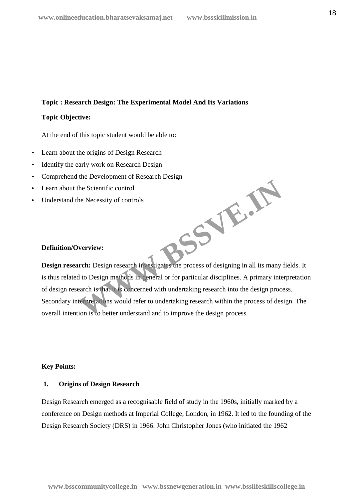### **Topic : Research Design: The Experimental Model And Its Variations**

### **Topic Objective:**

At the end of this topic student would be able to:

- Learn about the origins of Design Research
- Identify the early work on Research Design
- Comprehend the Development of Research Design **WWW.BSSVE.IN**
- Learn about the Scientific control
- Understand the Necessity of controls

### **Definition/Overview:**

**Design research:** Design research investigates the process of designing in all its many fields. It is thus related to Design methods in general or for particular disciplines. A primary interpretation of design research is that it is concerned with undertaking research into the design process. Secondary interpretations would refer to undertaking research within the process of design. The overall intention is to better understand and to improve the design process.

### **Key Points:**

### **1. Origins of Design Research**

Design Research emerged as a recognisable field of study in the 1960s, initially marked by a conference on Design methods at Imperial College, London, in 1962. It led to the founding of the Design Research Society (DRS) in 1966. John Christopher Jones (who initiated the 1962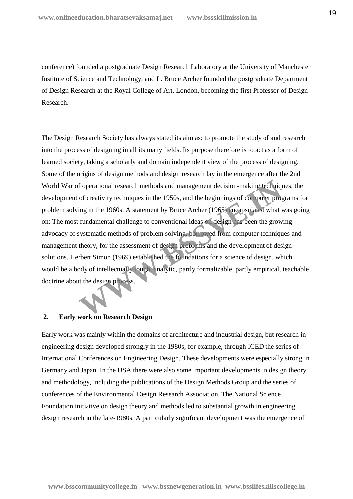conference) founded a postgraduate Design Research Laboratory at the University of Manchester Institute of Science and Technology, and L. Bruce Archer founded the postgraduate Department of Design Research at the Royal College of Art, London, becoming the first Professor of Design Research.

The Design Research Society has always stated its aim as: to promote the study of and research into the process of designing in all its many fields. Its purpose therefore is to act as a form of learned society, taking a scholarly and domain independent view of the process of designing. Some of the origins of design methods and design research lay in the emergence after the 2nd World War of operational research methods and management decision-making techniques, the development of creativity techniques in the 1950s, and the beginnings of computer programs for problem solving in the 1960s. A statement by Bruce Archer (1965) encapsulated what was going on: The most fundamental challenge to conventional ideas on design has been the growing advocacy of systematic methods of problem solving, borrowed from computer techniques and management theory, for the assessment of design problems and the development of design solutions. Herbert Simon (1969) established the foundations for a science of design, which would be a body of intellectually tough, analytic, partly formalizable, partly empirical, teachable doctrine about the design process. f operational research methods and management decision-making technique of creativity techniques in the 1950s, and the beginnings of computer proging in the 1960s. A statement by Bruce Archer (1965) incapsulated what funda

### **2. Early work on Research Design**

Early work was mainly within the domains of architecture and industrial design, but research in engineering design developed strongly in the 1980s; for example, through ICED the series of International Conferences on Engineering Design. These developments were especially strong in Germany and Japan. In the USA there were also some important developments in design theory and methodology, including the publications of the Design Methods Group and the series of conferences of the Environmental Design Research Association. The National Science Foundation initiative on design theory and methods led to substantial growth in engineering design research in the late-1980s. A particularly significant development was the emergence of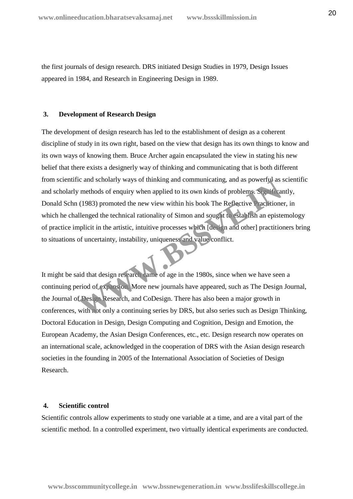the first journals of design research. DRS initiated Design Studies in 1979, Design Issues appeared in 1984, and Research in Engineering Design in 1989.

### **3. Development of Research Design**

The development of design research has led to the establishment of design as a coherent discipline of study in its own right, based on the view that design has its own things to know and its own ways of knowing them. Bruce Archer again encapsulated the view in stating his new belief that there exists a designerly way of thinking and communicating that is both different from scientific and scholarly ways of thinking and communicating, and as powerful as scientific and scholarly methods of enquiry when applied to its own kinds of problems. Significantly, Donald Schn (1983) promoted the new view within his book The Reflective Practitioner, in which he challenged the technical rationality of Simon and sought to establish an epistemology of practice implicit in the artistic, intuitive processes which [design and other] practitioners bring to situations of uncertainty, instability, uniqueness and value conflict. Franch Continuing and communicating, and as powering as the methods of enquiry when applied to its own kinds of problems. Significant (1983) promoted the new view within his book The Reflective Practitione Ilenged the tech

It might be said that design research came of age in the 1980s, since when we have seen a continuing period of expansion. More new journals have appeared, such as The Design Journal, the Journal of Design Research, and CoDesign. There has also been a major growth in conferences, with not only a continuing series by DRS, but also series such as Design Thinking, Doctoral Education in Design, Design Computing and Cognition, Design and Emotion, the European Academy, the Asian Design Conferences, etc., etc. Design research now operates on an international scale, acknowledged in the cooperation of DRS with the Asian design research societies in the founding in 2005 of the International Association of Societies of Design Research.

### **4. Scientific control**

Scientific controls allow experiments to study one variable at a time, and are a vital part of the scientific method. In a controlled experiment, two virtually identical experiments are conducted.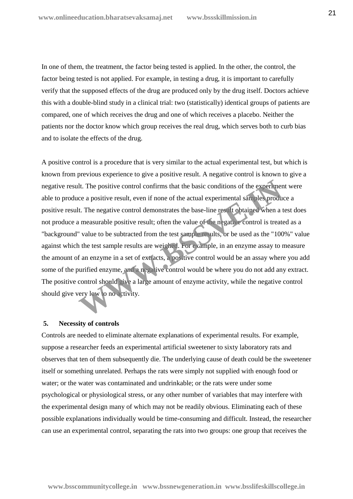In one of them, the treatment, the factor being tested is applied. In the other, the control, the factor being tested is not applied. For example, in testing a drug, it is important to carefully verify that the supposed effects of the drug are produced only by the drug itself. Doctors achieve this with a double-blind study in a clinical trial: two (statistically) identical groups of patients are compared, one of which receives the drug and one of which receives a placebo. Neither the patients nor the doctor know which group receives the real drug, which serves both to curb bias and to isolate the effects of the drug.

A positive control is a procedure that is very similar to the actual experimental test, but which is known from previous experience to give a positive result. A negative control is known to give a negative result. The positive control confirms that the basic conditions of the experiment were able to produce a positive result, even if none of the actual experimental samples produce a positive result. The negative control demonstrates the base-line result obtained when a test does not produce a measurable positive result; often the value of the negative control is treated as a "background" value to be subtracted from the test sample results, or be used as the "100%" value against which the test sample results are weighed. For example, in an enzyme assay to measure the amount of an enzyme in a set of extracts, a positive control would be an assay where you add some of the purified enzyme, and a negative control would be where you do not add any extract. The positive control should give a large amount of enzyme activity, while the negative control should give very low to no activity. It. The positive control confirms that the basic conditions of the experimente ce a positive result, even if none of the actual experimental samples product.<br>It. The negative control demonstrates the base-line result both

### **5. Necessity of controls**

Controls are needed to eliminate alternate explanations of experimental results. For example, suppose a researcher feeds an experimental artificial sweetener to sixty laboratory rats and observes that ten of them subsequently die. The underlying cause of death could be the sweetener itself or something unrelated. Perhaps the rats were simply not supplied with enough food or water; or the water was contaminated and undrinkable; or the rats were under some psychological or physiological stress, or any other number of variables that may interfere with the experimental design many of which may not be readily obvious. Eliminating each of these possible explanations individually would be time-consuming and difficult. Instead, the researcher can use an experimental control, separating the rats into two groups: one group that receives the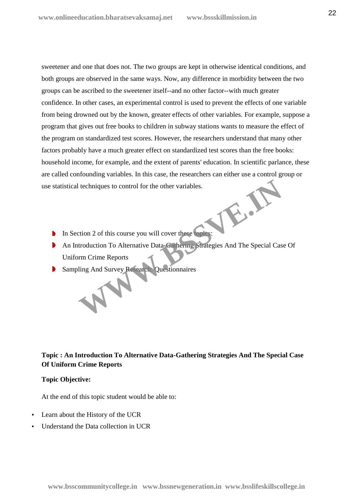sweetener and one that does not. The two groups are kept in otherwise identical conditions, and both groups are observed in the same ways. Now, any difference in morbidity between the two groups can be ascribed to the sweetener itself--and no other factor--with much greater confidence. In other cases, an experimental control is used to prevent the effects of one variable from being drowned out by the known, greater effects of other variables. For example, suppose a program that gives out free books to children in subway stations wants to measure the effect of the program on standardized test scores. However, the researchers understand that many other factors probably have a much greater effect on standardized test scores than the free books: household income, for example, and the extent of parents' education. In scientific parlance, these are called confounding variables. In this case, the researchers can either use a control group or use statistical techniques to control for the other variables. In Section 2 of this course you will cover these topics:

- 
- An Introduction To Alternative Data-Gathering Strategies And The Special Case Of Uniform Crime Reports Echniques to control for the other variables.<br>
Ection 2 of this course you will cover these Copies:<br>
Itroduction To Alternative Data-Gathering Strategies And The Special Cas<br>
From Crime Reports<br>
ling And Survey Research Qu
- **Sampling And Survey Research: Questionnaires**

## **Topic : An Introduction To Alternative Data-Gathering Strategies And The Special Case Of Uniform Crime Reports**

### **Topic Objective:**

At the end of this topic student would be able to:

- Learn about the History of the UCR
- Understand the Data collection in UCR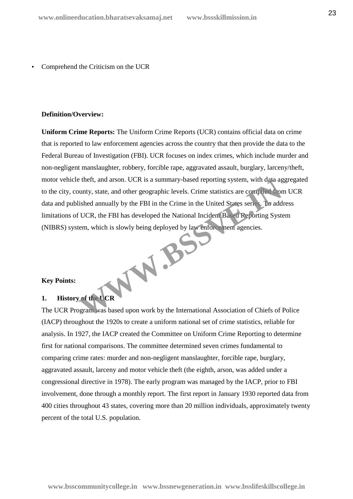Comprehend the Criticism on the UCR

### **Definition/Overview:**

**Uniform Crime Reports:** The Uniform Crime Reports (UCR) contains official data on crime that is reported to law enforcement agencies across the country that then provide the data to the Federal Bureau of Investigation (FBI). UCR focuses on index crimes, which include murder and non-negligent manslaughter, robbery, forcible rape, aggravated assault, burglary, larceny/theft, motor vehicle theft, and arson. UCR is a summary-based reporting system, with data aggregated to the city, county, state, and other geographic levels. Crime statistics are compiled from UCR data and published annually by the FBI in the Crime in the United States series. To address limitations of UCR, the FBI has developed the National Incident Based Reporting System (NIBRS) system, which is slowly being deployed by law enforcement agencies.

# W.BS

### **Key Points:**

### **1. History of the UCR**

The UCR Program was based upon work by the International Association of Chiefs of Police (IACP) throughout the 1920s to create a uniform national set of crime statistics, reliable for analysis. In 1927, the IACP created the Committee on Uniform Crime Reporting to determine first for national comparisons. The committee determined seven crimes fundamental to comparing crime rates: murder and non-negligent manslaughter, forcible rape, burglary, aggravated assault, larceny and motor vehicle theft (the eighth, arson, was added under a congressional directive in 1978). The early program was managed by the IACP, prior to FBI involvement, done through a monthly report. The first report in January 1930 reported data from 400 cities throughout 43 states, covering more than 20 million individuals, approximately twenty percent of the total U.S. population.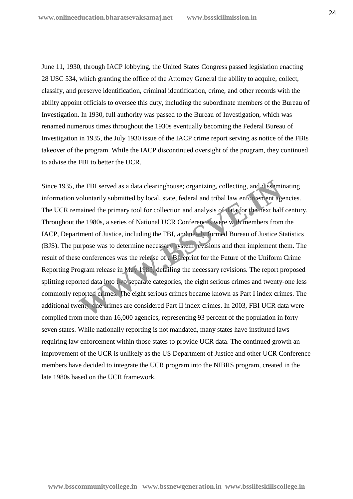June 11, 1930, through IACP lobbying, the United States Congress passed legislation enacting 28 USC 534, which granting the office of the Attorney General the ability to acquire, collect, classify, and preserve identification, criminal identification, crime, and other records with the ability appoint officials to oversee this duty, including the subordinate members of the Bureau of Investigation. In 1930, full authority was passed to the Bureau of Investigation, which was renamed numerous times throughout the 1930s eventually becoming the Federal Bureau of Investigation in 1935, the July 1930 issue of the IACP crime report serving as notice of the FBIs takeover of the program. While the IACP discontinued oversight of the program, they continued to advise the FBI to better the UCR.

Since 1935, the FBI served as a data clearinghouse; organizing, collecting, and disseminating information voluntarily submitted by local, state, federal and tribal law enforcement agencies. The UCR remained the primary tool for collection and analysis of data for the next half century. Throughout the 1980s, a series of National UCR Conferences were with members from the IACP, Department of Justice, including the FBI, and newly formed Bureau of Justice Statistics (BJS). The purpose was to determine necessary system revisions and then implement them. The result of these conferences was the release of a Blueprint for the Future of the Uniform Crime Reporting Program release in May 1985, detailing the necessary revisions. The report proposed splitting reported data into two separate categories, the eight serious crimes and twenty-one less commonly reported crimes. The eight serious crimes became known as Part I index crimes. The additional twenty-one crimes are considered Part II index crimes. In 2003, FBI UCR data were compiled from more than 16,000 agencies, representing 93 percent of the population in forty seven states. While nationally reporting is not mandated, many states have instituted laws requiring law enforcement within those states to provide UCR data. The continued growth an improvement of the UCR is unlikely as the US Department of Justice and other UCR Conference members have decided to integrate the UCR program into the NIBRS program, created in the late 1980s based on the UCR framework. the FBI served as a data clearinghouse; organizing, collecting, and dissemint coluntarily submitted by local, state, federal and tribal law enforcement age anained the primary tool for collection and analysis of the for th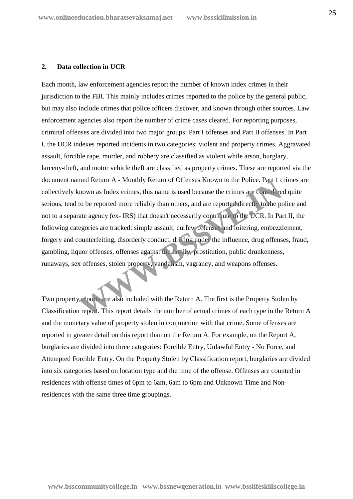### **2. Data collection in UCR**

Each month, law enforcement agencies report the number of known index crimes in their jurisdiction to the FBI. This mainly includes crimes reported to the police by the general public, but may also include crimes that police officers discover, and known through other sources. Law enforcement agencies also report the number of crime cases cleared. For reporting purposes, criminal offenses are divided into two major groups: Part I offenses and Part II offenses. In Part I, the UCR indexes reported incidents in two categories: violent and property crimes. Aggravated assault, forcible rape, murder, and robbery are classified as violent while arson, burglary, larceny-theft, and motor vehicle theft are classified as property crimes. These are reported via the document named Return A - Monthly Return of Offenses Known to the Police. Part 1 crimes are collectively known as Index crimes, this name is used because the crimes are considered quite serious, tend to be reported more reliably than others, and are reported directly to the police and not to a separate agency (ex- IRS) that doesn't necessarily contribute to the UCR. In Part II, the following categories are tracked: simple assault, curfew offenses and loitering, embezzlement, forgery and counterfeiting, disorderly conduct, driving under the influence, drug offenses, fraud, gambling, liquor offenses, offenses against the family, prostitution, public drunkenness, runaways, sex offenses, stolen property, vandalism, vagrancy, and weapons offenses. med Return A - Monthly Return of Offenses Known to the Police. Part 1 c<br>mown as Index crimes, this name is used because the crimes are considere<br>to be reported more reliably than others, and are reported directly to the po

Two property reports are also included with the Return A. The first is the Property Stolen by Classification report. This report details the number of actual crimes of each type in the Return A and the monetary value of property stolen in conjunction with that crime. Some offenses are reported in greater detail on this report than on the Return A. For example, on the Report A, burglaries are divided into three categories: Forcible Entry, Unlawful Entry - No Force, and Attempted Forcible Entry. On the Property Stolen by Classification report, burglaries are divided into six categories based on location type and the time of the offense. Offenses are counted in residences with offense times of 6pm to 6am, 6am to 6pm and Unknown Time and Nonresidences with the same three time groupings.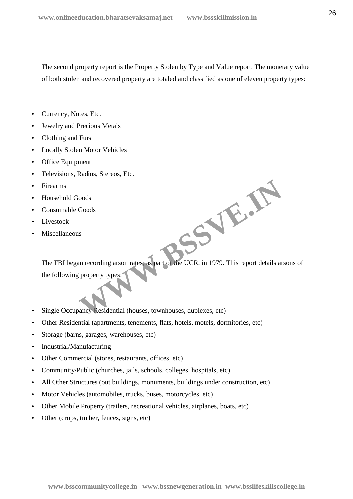The second property report is the Property Stolen by Type and Value report. The monetary value of both stolen and recovered property are totaled and classified as one of eleven property types:

- Currency, Notes, Etc.
- Jewelry and Precious Metals
- Clothing and Furs
- Locally Stolen Motor Vehicles
- Office Equipment
- Televisions, Radios, Stereos, Etc.
- Firearms
- Household Goods
- Consumable Goods
- Livestock
- Miscellaneous

The FBI began recording arson rates, as part of the UCR, in 1979. This report details arsons of the following property types: **WWW.BSSVE.IN**

- Single Occupancy Residential (houses, townhouses, duplexes, etc)
- Other Residential (apartments, tenements, flats, hotels, motels, dormitories, etc)
- Storage (barns, garages, warehouses, etc)
- Industrial/Manufacturing
- Other Commercial (stores, restaurants, offices, etc)
- Community/Public (churches, jails, schools, colleges, hospitals, etc)
- All Other Structures (out buildings, monuments, buildings under construction, etc)
- Motor Vehicles (automobiles, trucks, buses, motorcycles, etc)
- Other Mobile Property (trailers, recreational vehicles, airplanes, boats, etc)
- Other (crops, timber, fences, signs, etc)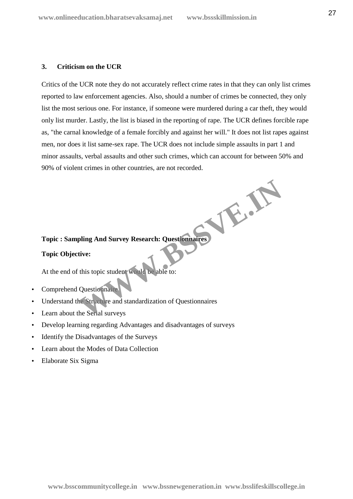**WWW.BSSVE.IN**

### **3. Criticism on the UCR**

Critics of the UCR note they do not accurately reflect crime rates in that they can only list crimes reported to law enforcement agencies. Also, should a number of crimes be connected, they only list the most serious one. For instance, if someone were murdered during a car theft, they would only list murder. Lastly, the list is biased in the reporting of rape. The UCR defines forcible rape as, "the carnal knowledge of a female forcibly and against her will." It does not list rapes against men, nor does it list same-sex rape. The UCR does not include simple assaults in part 1 and minor assaults, verbal assaults and other such crimes, which can account for between 50% and 90% of violent crimes in other countries, are not recorded.

### **Topic : Sampling And Survey Research: Questionnaires**

### **Topic Objective:**

At the end of this topic student would be able to:

- Comprehend Questionnaire
- Understand the Structure and standardization of Questionnaires
- Learn about the Serial surveys
- Develop learning regarding Advantages and disadvantages of surveys
- Identify the Disadvantages of the Surveys
- Learn about the Modes of Data Collection
- Elaborate Six Sigma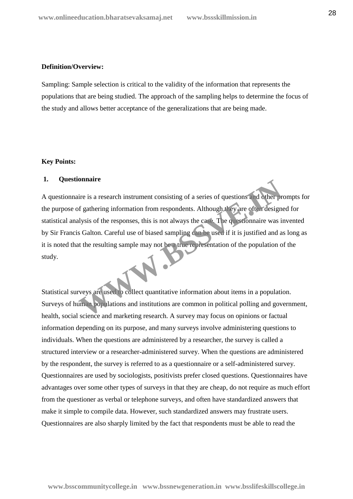### **Definition/Overview:**

Sampling: Sample selection is critical to the validity of the information that represents the populations that are being studied. The approach of the sampling helps to determine the focus of the study and allows better acceptance of the generalizations that are being made.

### **Key Points:**

### **1. Questionnaire**

A questionnaire is a research instrument consisting of a series of questions and other prompts for the purpose of gathering information from respondents. Although they are often designed for statistical analysis of the responses, this is not always the case. The questionnaire was invented by Sir Francis Galton. Careful use of biased sampling can be used if it is justified and as long as it is noted that the resulting sample may not be a true representation of the population of the study. Figure is a research instrument consisting of a series of questions and other property of gathering information from respondents. Although they are often designaly sis of the responses, this is not always the case. The que

Statistical surveys are used to collect quantitative information about items in a population. Surveys of human populations and institutions are common in political polling and government, health, social science and marketing research. A survey may focus on opinions or factual information depending on its purpose, and many surveys involve administering questions to individuals. When the questions are administered by a researcher, the survey is called a structured interview or a researcher-administered survey. When the questions are administered by the respondent, the survey is referred to as a questionnaire or a self-administered survey. Questionnaires are used by sociologists, positivists prefer closed questions. Questionnaires have advantages over some other types of surveys in that they are cheap, do not require as much effort from the questioner as verbal or telephone surveys, and often have standardized answers that make it simple to compile data. However, such standardized answers may frustrate users. Questionnaires are also sharply limited by the fact that respondents must be able to read the

**www.bsscommunitycollege.in www.bssnewgeneration.in www.bsslifeskillscollege.in**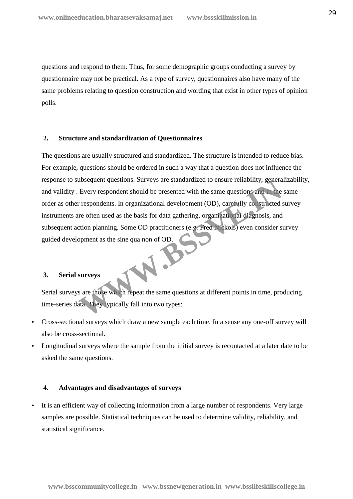questions and respond to them. Thus, for some demographic groups conducting a survey by questionnaire may not be practical. As a type of survey, questionnaires also have many of the same problems relating to question construction and wording that exist in other types of opinion polls.

### **2. Structure and standardization of Questionnaires**

The questions are usually structured and standardized. The structure is intended to reduce bias. For example, questions should be ordered in such a way that a question does not influence the response to subsequent questions. Surveys are standardized to ensure reliability, generalizability, and validity . Every respondent should be presented with the same questions and in the same order as other respondents. In organizational development (OD), carefully constructed survey instruments are often used as the basis for data gathering, organizational diagnosis, and subsequent action planning. Some OD practitioners (e.g. Fred Nickols) even consider survey guided development as the sine qua non of OD.<br>
3. Serial surveys absequent questions. Surveys are standardized to ensure remability, general<br>Every respondent should be presented with the same questions and<br>are often used as the basis for data gathering, organizational diagnosis, and<br>ref

### **3. Serial surveys**

Serial surveys are those which repeat the same questions at different points in time, producing time-series data. They typically fall into two types:

- Cross-sectional surveys which draw a new sample each time. In a sense any one-off survey will also be cross-sectional.
- Longitudinal surveys where the sample from the initial survey is recontacted at a later date to be asked the same questions.

### **4. Advantages and disadvantages of surveys**

 It is an efficient way of collecting information from a large number of respondents. Very large samples are possible. Statistical techniques can be used to determine validity, reliability, and statistical significance.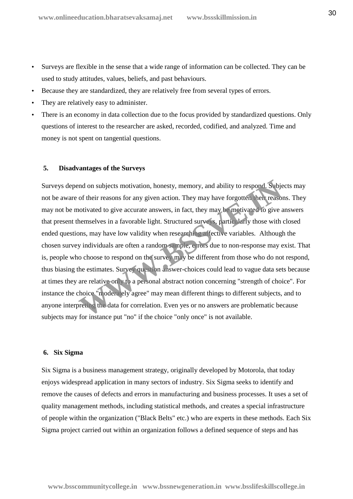- Surveys are flexible in the sense that a wide range of information can be collected. They can be used to study attitudes, values, beliefs, and past behaviours.
- Because they are standardized, they are relatively free from several types of errors.
- They are relatively easy to administer.
- There is an economy in data collection due to the focus provided by standardized questions. Only questions of interest to the researcher are asked, recorded, codified, and analyzed. Time and money is not spent on tangential questions.

### **5. Disadvantages of the Surveys**

Surveys depend on subjects motivation, honesty, memory, and ability to respond. Subjects may not be aware of their reasons for any given action. They may have forgotten their reasons. They may not be motivated to give accurate answers, in fact, they may be motivated to give answers that present themselves in a favorable light. Structured surveys, particularly those with closed ended questions, may have low validity when researching affective variables. Although the chosen survey individuals are often a random sample, errors due to non-response may exist. That is, people who choose to respond on the survey may be different from those who do not respond, thus biasing the estimates. Survey question answer-choices could lead to vague data sets because at times they are relative only to a personal abstract notion concerning "strength of choice". For instance the choice "moderately agree" may mean different things to different subjects, and to anyone interpreting the data for correlation. Even yes or no answers are problematic because subjects may for instance put "no" if the choice "only once" is not available. and on subjects motivation, honesty, memory, and ability to respond. Subject of their reasons for any given action. They may have forgotten their reason otivated to give accurate answers, in fact, they may be motivated to

### **6. Six Sigma**

Six Sigma is a business management strategy, originally developed by Motorola, that today enjoys widespread application in many sectors of industry. Six Sigma seeks to identify and remove the causes of defects and errors in manufacturing and business processes. It uses a set of quality management methods, including statistical methods, and creates a special infrastructure of people within the organization ("Black Belts" etc.) who are experts in these methods. Each Six Sigma project carried out within an organization follows a defined sequence of steps and has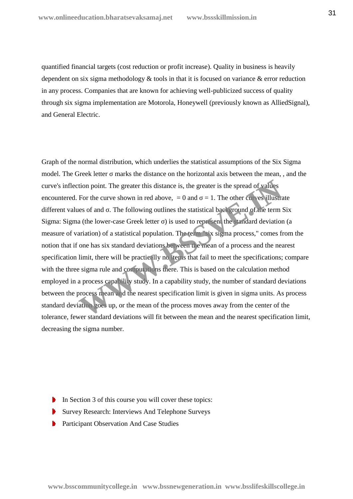quantified financial targets (cost reduction or profit increase). Quality in business is heavily dependent on six sigma methodology & tools in that it is focused on variance & error reduction in any process. Companies that are known for achieving well-publicized success of quality through six sigma implementation are Motorola, Honeywell (previously known as AlliedSignal), and General Electric.

Graph of the normal distribution, which underlies the statistical assumptions of the Six Sigma model. The Greek letter marks the distance on the horizontal axis between the mean, , and the curve's inflection point. The greater this distance is, the greater is the spread of values encountered. For the curve shown in red above,  $= 0$  and  $= 1$ . The other curves illustrate different values of and The following outlines the statistical background of the term Six Sigma: Sigma (the lower-case Greek letter) is used to represent the standard deviation (a measure of variation) of a statistical population. The term "six sigma process," comes from the notion that if one has six standard deviations between the mean of a process and the nearest specification limit, there will be practically no items that fail to meet the specifications; compare with the three sigma rule and computations there. This is based on the calculation method employed in a process capability study. In a capability study, the number of standard deviations between the process mean and the nearest specification limit is given in sigma units. As process standard deviation goes up, or the mean of the process moves away from the center of the tolerance, fewer standard deviations will fit between the mean and the nearest specification limit, decreasing the sigma number. tion point. The greater this distance is, the greater is the spread of values<br>For the curve shown in red above,  $= 0$  and  $= 1$ . The other curves illustrates<br>of and . The following outlines the statistical back round of t

- In Section 3 of this course you will cover these topics:
- Survey Research: Interviews And Telephone Surveys
- **Participant Observation And Case Studies**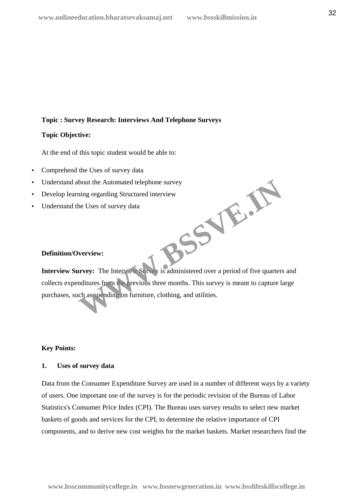### **Topic : Survey Research: Interviews And Telephone Surveys**

### **Topic Objective:**

At the end of this topic student would be able to:

- Comprehend the Uses of survey data
- Understand about the Automated telephone survey
- Develop learning regarding Structured interview
- Understand the Uses of survey data

### **Definition/Overview:**

**Interview Survey:** The Interview Survey is administered over a period of five quarters and collects expenditures from the previous three months. This survey is meant to capture large purchases, such as spending on furniture, clothing, and utilities. **WWW.BSSVE.IN**

### **Key Points:**

### **1. Uses of survey data**

Data from the Consumer Expenditure Survey are used in a number of different ways by a variety of users. One important use of the survey is for the periodic revision of the Bureau of Labor Statistics's Consumer Price Index (CPI). The Bureau uses survey results to select new market baskets of goods and services for the CPI, to determine the relative importance of CPI components, and to derive new cost weights for the market baskets. Market researchers find the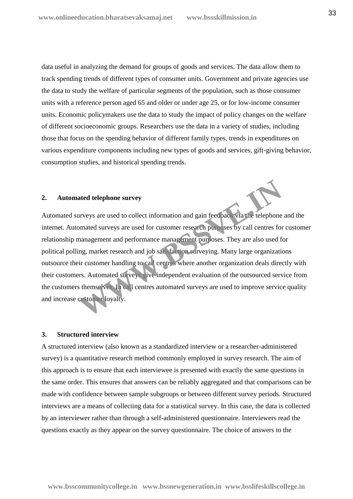data useful in analyzing the demand for groups of goods and services. The data allow them to track spending trends of different types of consumer units. Government and private agencies use the data to study the welfare of particular segments of the population, such as those consumer units with a reference person aged 65 and older or under age 25, or for low-income consumer units. Economic policymakers use the data to study the impact of policy changes on the welfare of different socioeconomic groups. Researchers use the data in a variety of studies, including those that focus on the spending behavior of different family types, trends in expenditures on various expenditure components including new types of goods and services, gift-giving behavior, consumption studies, and historical spending trends.

### **2. Automated telephone survey**

Automated surveys are used to collect information and gain feedback via the telephone and the internet. Automated surveys are used for customer research purposes by call centres for customer relationship management and performance management purposes. They are also used for political polling, market research and job satisfaction surveying. Many large organizations outsource their customer handling to call centres where another organization deals directly with their customers. Automated surveys give independent evaluation of the outsourced service from the customers themselves. In call centres automated surveys are used to improve service quality and increase customer loyalty. ated telephone survey<br>
urveys are used to collect information and gain feedback was the telephone<br>
omated surveys are used for customer research purposes by call centres for<br>
management and performance management purposes.

### **3. Structured interview**

A structured interview (also known as a standardized interview or a researcher-administered survey) is a quantitative research method commonly employed in survey research. The aim of this approach is to ensure that each interviewee is presented with exactly the same questions in the same order. This ensures that answers can be reliably aggregated and that comparisons can be made with confidence between sample subgroups or between different survey periods. Structured interviews are a means of collecting data for a statistical survey. In this case, the data is collected by an interviewer rather than through a self-administered questionnaire. Interviewers read the questions exactly as they appear on the survey questionnaire. The choice of answers to the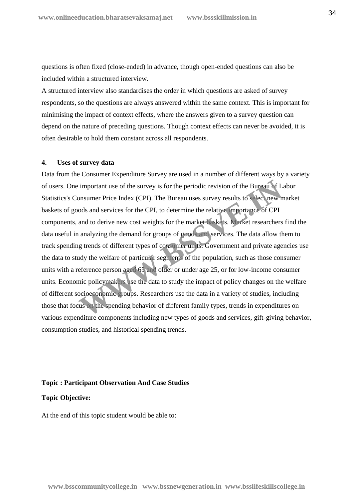questions is often fixed (close-ended) in advance, though open-ended questions can also be included within a structured interview.

A structured interview also standardises the order in which questions are asked of survey respondents, so the questions are always answered within the same context. This is important for minimising the impact of context effects, where the answers given to a survey question can depend on the nature of preceding questions. Though context effects can never be avoided, it is often desirable to hold them constant across all respondents.

### **4. Uses of survey data**

Data from the Consumer Expenditure Survey are used in a number of different ways by a variety of users. One important use of the survey is for the periodic revision of the Bureau of Labor Statistics's Consumer Price Index (CPI). The Bureau uses survey results to select new market baskets of goods and services for the CPI, to determine the relative importance of CPI components, and to derive new cost weights for the market baskets. Market researchers find the data useful in analyzing the demand for groups of goods and services. The data allow them to track spending trends of different types of consumer units. Government and private agencies use the data to study the welfare of particular segments of the population, such as those consumer units with a reference person aged 65 and older or under age 25, or for low-income consumer units. Economic policymakers use the data to study the impact of policy changes on the welfare of different socioeconomic groups. Researchers use the data in a variety of studies, including those that focus on the spending behavior of different family types, trends in expenditures on various expenditure components including new types of goods and services, gift-giving behavior, consumption studies, and historical spending trends. important use of the survey is for the periodic revision of the Bureau of L<br>
msumer Price Index (CPI). The Bureau uses survey results to select new n<br>
ods and services for the CPI, to determine the relative importance of C

### **Topic : Participant Observation And Case Studies**

### **Topic Objective:**

At the end of this topic student would be able to:

**www.bsscommunitycollege.in www.bssnewgeneration.in www.bsslifeskillscollege.in**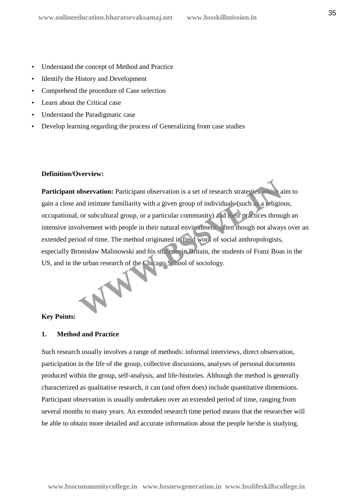- Understand the concept of Method and Practice
- Identify the History and Development
- Comprehend the procedure of Case selection
- Learn about the Critical case
- Understand the Paradigmatic case
- Develop learning regarding the process of Generalizing from case studies

### **Definition/Overview:**

Participant observation: Participant observation is a set of research strategies which aim to gain a close and intimate familiarity with a given group of individuals (such as a religious, occupational, or subcultural group, or a particular community) and their practices through an intensive involvement with people in their natural environment, often though not always over an extended period of time. The method originated in field work of social anthropologists, especially Bronisław Malinowski and his students in Britain, the students of Franz Boas in the US, and in the urban research of the Chicago School of sociology. **Example 18 Servation:** Participant observation is a set of research strategies which and intimate familiarity with a given group of individuals (such as a religio or subcultural group, or a particular community and their

### **Key Points:**

### **1. Method and Practice**

Such research usually involves a range of methods: informal interviews, direct observation, participation in the life of the group, collective discussions, analyses of personal documents produced within the group, self-analysis, and life-histories. Although the method is generally characterized as qualitative research, it can (and often does) include quantitative dimensions. Participant observation is usually undertaken over an extended period of time, ranging from several months to many years. An extended research time period means that the researcher will be able to obtain more detailed and accurate information about the people he/she is studying.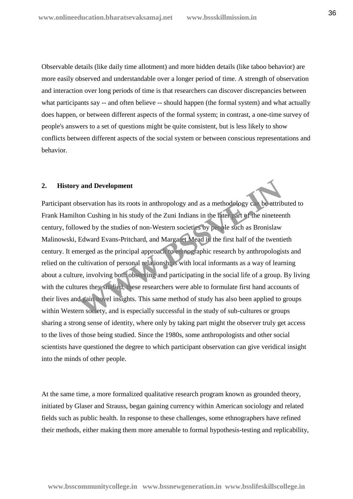Observable details (like daily time allotment) and more hidden details (like taboo behavior) are more easily observed and understandable over a longer period of time. A strength of observation and interaction over long periods of time is that researchers can discover discrepancies between what participants say -- and often believe -- should happen (the formal system) and what actually does happen, or between different aspects of the formal system; in contrast, a one-time survey of people's answers to a set of questions might be quite consistent, but is less likely to show conflicts between different aspects of the social system or between conscious representations and behavior.

### **2. History and Development**

Participant observation has its roots in anthropology and as a methodology can be attributed to Frank Hamilton Cushing in his study of the Zuni Indians in the later part of the nineteenth century, followed by the studies of non-Western societies by people such as Bronislaw Malinowski, Edward Evans-Pritchard, and Margaret Mead in the first half of the twentieth century. It emerged as the principal approach to ethnographic research by anthropologists and relied on the cultivation of personal relationships with local informants as a way of learning about a culture, involving both observing and participating in the social life of a group. By living with the cultures they studied, these researchers were able to formulate first hand accounts of their lives and gain novel insights. This same method of study has also been applied to groups within Western society, and is especially successful in the study of sub-cultures or groups sharing a strong sense of identity, where only by taking part might the observer truly get access to the lives of those being studied. Since the 1980s, some anthropologists and other social scientists have questioned the degree to which participant observation can give veridical insight into the minds of other people. **Example 18 and Development**<br>
Seervation has its roots in anthropology and as a methodology can be attrict<br>
con Cushing in his study of the Zuni Indians in the factor and of the nineteen<br>
wed by the studies of non-Western

At the same time, a more formalized qualitative research program known as grounded theory, initiated by Glaser and Strauss, began gaining currency within American sociology and related fields such as public health. In response to these challenges, some ethnographers have refined their methods, either making them more amenable to formal hypothesis-testing and replicability,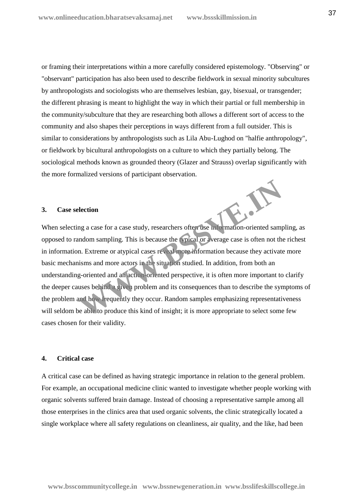or framing their interpretations within a more carefully considered epistemology. "Observing" or "observant" participation has also been used to describe fieldwork in sexual minority subcultures by anthropologists and sociologists who are themselves lesbian, gay, bisexual, or transgender; the different phrasing is meant to highlight the way in which their partial or full membership in the community/subculture that they are researching both allows a different sort of access to the community and also shapes their perceptions in ways different from a full outsider. This is similar to considerations by anthropologists such as Lila Abu-Lughod on "halfie anthropology", or fieldwork by bicultural anthropologists on a culture to which they partially belong. The sociological methods known as grounded theory (Glazer and Strauss) overlap significantly with the more formalized versions of participant observation.

#### **3. Case selection**

When selecting a case for a case study, researchers often use information-oriented sampling, as opposed to random sampling. This is because the typical or average case is often not the richest in information. Extreme or atypical cases reveal more information because they activate more basic mechanisms and more actors in the situation studied. In addition, from both an understanding-oriented and an action-oriented perspective, it is often more important to clarify the deeper causes behind a given problem and its consequences than to describe the symptoms of the problem and how frequently they occur. Random samples emphasizing representativeness will seldom be able to produce this kind of insight; it is more appropriate to select some few cases chosen for their validity. **Example 3** a case for a case study, researchers often use into mation-oriented sampled and an ampling. This is because the virtual or average case is often not the m. Extreme or atypical cases reveal more information beca

#### **4. Critical case**

A critical case can be defined as having strategic importance in relation to the general problem. For example, an occupational medicine clinic wanted to investigate whether people working with organic solvents suffered brain damage. Instead of choosing a representative sample among all those enterprises in the clinics area that used organic solvents, the clinic strategically located a single workplace where all safety regulations on cleanliness, air quality, and the like, had been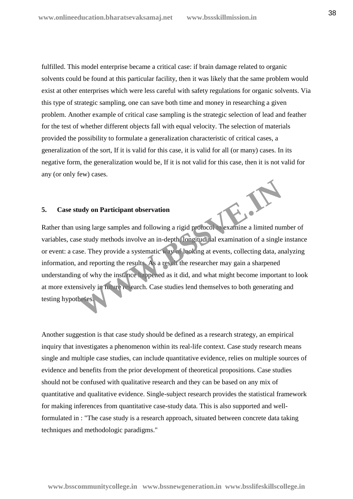fulfilled. This model enterprise became a critical case: if brain damage related to organic solvents could be found at this particular facility, then it was likely that the same problem would exist at other enterprises which were less careful with safety regulations for organic solvents. Via this type of strategic sampling, one can save both time and money in researching a given problem. Another example of critical case sampling is the strategic selection of lead and feather for the test of whether different objects fall with equal velocity. The selection of materials provided the possibility to formulate a generalization characteristic of critical cases, a generalization of the sort, If it is valid for this case, it is valid for all (or many) cases. In its negative form, the generalization would be, If it is not valid for this case, then it is not valid for any (or only few) cases.

### **5. Case study on Participant observation**

S. Case study on Participant observation<br>Rather than using large samples and following a rigid protocol to examine a limited number of variables, case study methods involve an in-depth, longitudinal examination of a single instance or event: a case. They provide a systematic way of looking at events, collecting data, analyzing information, and reporting the results. As a result the researcher may gain a sharpened understanding of why the instance happened as it did, and what might become important to look at more extensively in future research. Case studies lend themselves to both generating and testing hypotheses. **Example 18 and 18 and 18 and 18 and 18 and 18 and 18 and 18 and 18 and 18 and 18 and 18 and 18 and 18 and 18 and 18 and 18 and 18 and 18 and 18 and 18 and 18 and 18 and 18 and 18 and 18 and 18 and 18 and 18 and 18 and 18** 

Another suggestion is that case study should be defined as a research strategy, an empirical inquiry that investigates a phenomenon within its real-life context. Case study research means single and multiple case studies, can include quantitative evidence, relies on multiple sources of evidence and benefits from the prior development of theoretical propositions. Case studies should not be confused with qualitative research and they can be based on any mix of quantitative and qualitative evidence. Single-subject research provides the statistical framework for making inferences from quantitative case-study data. This is also supported and wellformulated in : "The case study is a research approach, situated between concrete data taking techniques and methodologic paradigms."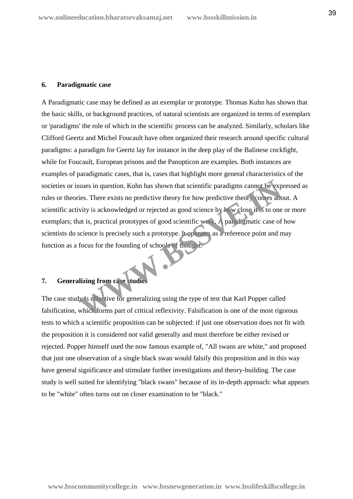#### **6. Paradigmatic case**

A Paradigmatic case may be defined as an exemplar or prototype. Thomas Kuhn has shown that the basic skills, or background practices, of natural scientists are organized in terms of exemplars or 'paradigms' the role of which in the scientific process can be analyzed. Similarly, scholars like Clifford Geertz and Michel Foucault have often organized their research around specific cultural paradigms: a paradigm for Geertz lay for instance in the deep play of the Balinese cockfight, while for Foucault, European prisons and the Panopticon are examples. Both instances are examples of paradigmatic cases, that is, cases that highlight more general characteristics of the societies or issues in question. Kuhn has shown that scientific paradigms cannot be expressed as rules or theories. There exists no predictive theory for how predictive theory comes about. A scientific activity is acknowledged or rejected as good science by how close it is to one or more exemplars; that is, practical prototypes of good scientific work. A paradigmatic case of how scientists do science is precisely such a prototype. It operates as a reference point and may function as a focus for the founding of schools of thought. Sues in question. Kuhn has shown that scientific paradigms cannot be express. There exists no predictive theory for how predictive theory comes aboutly is acknowledged or rejected as good science by how close it is to one

# **7. Generalizing from case studies**

The case study is effective for generalizing using the type of test that Karl Popper called falsification, which forms part of critical reflexivity. Falsification is one of the most rigorous tests to which a scientific proposition can be subjected: if just one observation does not fit with the proposition it is considered not valid generally and must therefore be either revised or rejected. Popper himself used the now famous example of, "All swans are white," and proposed that just one observation of a single black swan would falsify this proposition and in this way have general significance and stimulate further investigations and theory-building. The case study is well suited for identifying "black swans" because of its in-depth approach: what appears to be "white" often turns out on closer examination to be "black."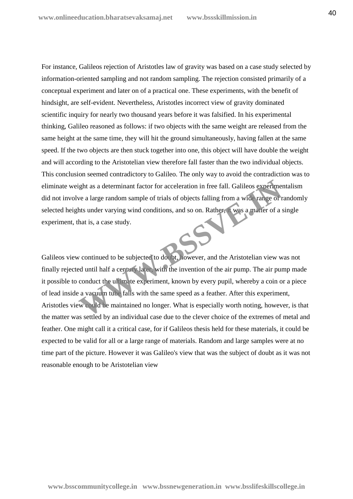For instance, Galileos rejection of Aristotles law of gravity was based on a case study selected by information-oriented sampling and not random sampling. The rejection consisted primarily of a conceptual experiment and later on of a practical one. These experiments, with the benefit of hindsight, are self-evident. Nevertheless, Aristotles incorrect view of gravity dominated scientific inquiry for nearly two thousand years before it was falsified. In his experimental thinking, Galileo reasoned as follows: if two objects with the same weight are released from the same height at the same time, they will hit the ground simultaneously, having fallen at the same speed. If the two objects are then stuck together into one, this object will have double the weight and will according to the Aristotelian view therefore fall faster than the two individual objects. This conclusion seemed contradictory to Galileo. The only way to avoid the contradiction was to eliminate weight as a determinant factor for acceleration in free fall. Galileos experimentalism did not involve a large random sample of trials of objects falling from a wide range of randomly selected heights under varying wind conditions, and so on. Rather, it was a matter of a single experiment, that is, a case study.

Galileos view continued to be subjected to doubt, however, and the Aristotelian view was not finally rejected until half a century later, with the invention of the air pump. The air pump made it possible to conduct the ultimate experiment, known by every pupil, whereby a coin or a piece of lead inside a vacuum tube falls with the same speed as a feather. After this experiment, Aristotles view could be maintained no longer. What is especially worth noting, however, is that the matter was settled by an individual case due to the clever choice of the extremes of metal and feather. One might call it a critical case, for if Galileos thesis held for these materials, it could be expected to be valid for all or a large range of materials. Random and large samples were at no time part of the picture. However it was Galileo's view that was the subject of doubt as it was not reasonable enough to be Aristotelian view Experiment factor for acceleration in free fall. Galileos experiment we a large random sample of trials of objects falling from a wide range of r<br>this under varying wind conditions, and so on. Rather, was a matter of a s<br>h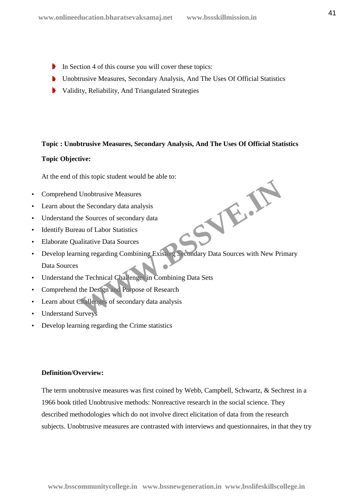- In Section 4 of this course you will cover these topics:
- Unobtrusive Measures, Secondary Analysis, And The Uses Of Official Statistics
- Validity, Reliability, And Triangulated Strategies

# **Topic : Unobtrusive Measures, Secondary Analysis, And The Uses Of Official Statistics**

WWW.BS

# **Topic Objective:**

At the end of this topic student would be able to:

- Comprehend Unobtrusive Measures
- Learn about the Secondary data analysis
- Understand the Sources of secondary data
- Identify Bureau of Labor Statistics
- Elaborate Qualitative Data Sources
- Develop learning regarding Combining Existing Secondary Data Sources with New Primary Data Sources
- Understand the Technical Challenges in Combining Data Sets
- Comprehend the Design and Purpose of Research
- Learn about Challenges of secondary data analysis
- Understand Surveys
- Develop learning regarding the Crime statistics

# **Definition/Overview:**

The term unobtrusive measures was first coined by Webb, Campbell, Schwartz, & Sechrest in a 1966 book titled Unobtrusive methods: Nonreactive research in the social science. They described methodologies which do not involve direct elicitation of data from the research subjects. Unobtrusive measures are contrasted with interviews and questionnaires, in that they try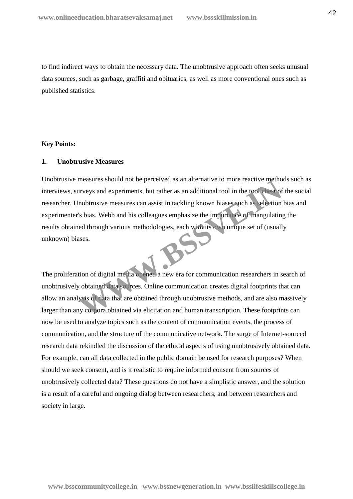to find indirect ways to obtain the necessary data. The unobtrusive approach often seeks unusual data sources, such as garbage, graffiti and obituaries, as well as more conventional ones such as published statistics.

#### **Key Points:**

#### **1. Unobtrusive Measures**

Unobtrusive measures should not be perceived as an alternative to more reactive methods such as interviews, surveys and experiments, but rather as an additional tool in the tool chest of the social researcher. Unobtrusive measures can assist in tackling known biases such as selection bias and experimenter's bias. Webb and his colleagues emphasize the importance of triangulating the results obtained through various methodologies, each with its own unique set of (usually unknown) biases. Ineasures should not be perceived as an alternative to more reactive means<br>arveys and experiments, but rather as an additional tool in the tool chest of<br>nobtrusive measures can assist in tackling known biases such as selec

The proliferation of digital media opened a new era for communication researchers in search of unobtrusively obtained data sources. Online communication creates digital footprints that can allow an analysis of data that are obtained through unobtrusive methods, and are also massively larger than any corpora obtained via elicitation and human transcription. These footprints can now be used to analyze topics such as the content of communication events, the process of communication, and the structure of the communicative network. The surge of Internet-sourced research data rekindled the discussion of the ethical aspects of using unobtrusively obtained data. For example, can all data collected in the public domain be used for research purposes? When should we seek consent, and is it realistic to require informed consent from sources of unobtrusively collected data? These questions do not have a simplistic answer, and the solution is a result of a careful and ongoing dialog between researchers, and between researchers and society in large.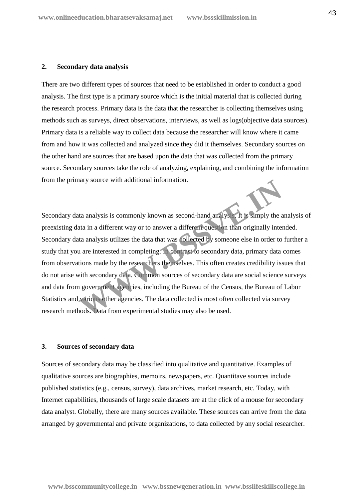#### **2. Secondary data analysis**

There are two different types of sources that need to be established in order to conduct a good analysis. The first type is a primary source which is the initial material that is collected during the research process. Primary data is the data that the researcher is collecting themselves using methods such as surveys, direct observations, interviews, as well as logs(objective data sources). Primary data is a reliable way to collect data because the researcher will know where it came from and how it was collected and analyzed since they did it themselves. Secondary sources on the other hand are sources that are based upon the data that was collected from the primary source. Secondary sources take the role of analyzing, explaining, and combining the information from the primary source with additional information.

Secondary data analysis is commonly known as second-hand analysis. It is simply the analysis of preexisting data in a different way or to answer a different question than originally intended. Secondary data analysis utilizes the data that was collected by someone else in order to further a study that you are interested in completing. In contrast to secondary data, primary data comes from observations made by the researchers themselves. This often creates credibility issues that do not arise with secondary data. Common sources of secondary data are social science surveys and data from government agencies, including the Bureau of the Census, the Bureau of Labor Statistics and various other agencies. The data collected is most often collected via survey research methods. Data from experimental studies may also be used. The state in a different way or to answer a different question than originally the a<br>tata in a different way or to answer a different question than originally inter<br>that a analysis utilizes the data that was collected by s

## **3. Sources of secondary data**

Sources of secondary data may be classified into qualitative and quantitative. Examples of qualitative sources are biographies, memoirs, newspapers, etc. Quantitave sources include published statistics (e.g., census, survey), data archives, market research, etc. Today, with Internet capabilities, thousands of large scale datasets are at the click of a mouse for secondary data analyst. Globally, there are many sources available. These sources can arrive from the data arranged by governmental and private organizations, to data collected by any social researcher.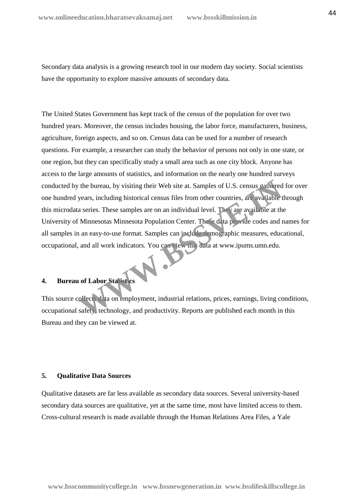Secondary data analysis is a growing research tool in our modern day society. Social scientists have the opportunity to explore massive amounts of secondary data.

The United States Government has kept track of the census of the population for over two hundred years. Moreover, the census includes housing, the labor force, manufacturers, business, agriculture, foreign aspects, and so on. Census data can be used for a number of research questions. For example, a researcher can study the behavior of persons not only in one state, or one region, but they can specifically study a small area such as one city block. Anyone has access to the large amounts of statistics, and information on the nearly one hundred surveys conducted by the bureau, by visiting their Web site at. Samples of U.S. census gathered for over one hundred years, including historical census files from other countries, are available through this microdata series. These samples are on an individual level. They are available at the University of Minnesotas Minnesota Population Center. These data provide codes and names for all samples in an easy-to-use format. Samples can include demographic measures, educational, occupational, and all work indicators. You can view this data at www.ipums.umn.edu. The bureau, by visiting their Web site at. Samples of U.S. census gathered<br>years, including historical census files from other countries, are available to<br>a series. These samples are on an individual level. The varie avail

# **4. Bureau of Labor Statistics**

This source collects data on employment, industrial relations, prices, earnings, living conditions, occupational safety, technology, and productivity. Reports are published each month in this Bureau and they can be viewed at.

## **5. Qualitative Data Sources**

Qualitative datasets are far less available as secondary data sources. Several university-based secondary data sources are qualitative, yet at the same time, most have limited access to them. Cross-cultural research is made available through the Human Relations Area Files, a Yale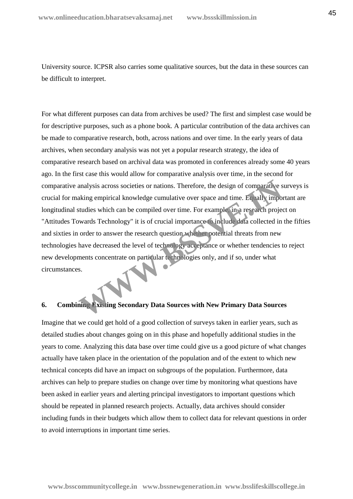University source. ICPSR also carries some qualitative sources, but the data in these sources can be difficult to interpret.

For what different purposes can data from archives be used? The first and simplest case would be for descriptive purposes, such as a phone book. A particular contribution of the data archives can be made to comparative research, both, across nations and over time. In the early years of data archives, when secondary analysis was not yet a popular research strategy, the idea of comparative research based on archival data was promoted in conferences already some 40 years ago. In the first case this would allow for comparative analysis over time, in the second for comparative analysis across societies or nations. Therefore, the design of comparative surveys is crucial for making empirical knowledge cumulative over space and time. Equally important are longitudinal studies which can be compiled over time. For example, in a research project on "Attitudes Towards Technology" it is of crucial importance to include data collected in the fifties and sixties in order to answer the research question whether potential threats from new technologies have decreased the level of technology acceptance or whether tendencies to reject new developments concentrate on particular technologies only, and if so, under what circumstances. analysis across societies or nations. Therefore, the design of comparative s<br>aking empirical knowledge cumulative over space and time. Equally impo<br>studies which can be compiled over time. For example in a research project

# **6. Combining Existing Secondary Data Sources with New Primary Data Sources**

Imagine that we could get hold of a good collection of surveys taken in earlier years, such as detailed studies about changes going on in this phase and hopefully additional studies in the years to come. Analyzing this data base over time could give us a good picture of what changes actually have taken place in the orientation of the population and of the extent to which new technical concepts did have an impact on subgroups of the population. Furthermore, data archives can help to prepare studies on change over time by monitoring what questions have been asked in earlier years and alerting principal investigators to important questions which should be repeated in planned research projects. Actually, data archives should consider including funds in their budgets which allow them to collect data for relevant questions in order to avoid interruptions in important time series.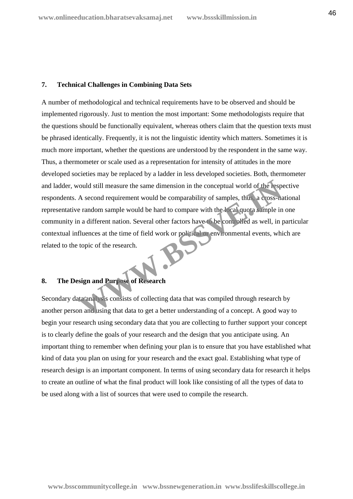## **7. Technical Challenges in Combining Data Sets**

A number of methodological and technical requirements have to be observed and should be implemented rigorously. Just to mention the most important: Some methodologists require that the questions should be functionally equivalent, whereas others claim that the question texts must be phrased identically. Frequently, it is not the linguistic identity which matters. Sometimes it is much more important, whether the questions are understood by the respondent in the same way. Thus, a thermometer or scale used as a representation for intensity of attitudes in the more developed societies may be replaced by a ladder in less developed societies. Both, thermometer and ladder, would still measure the same dimension in the conceptual world of the respective respondents. A second requirement would be comparability of samples, thus, a cross-national representative random sample would be hard to compare with the local quota sample in one community in a different nation. Several other factors have to be controlled as well, in particular contextual influences at the time of field work or political or environmental events, which are related to the topic of the research. From the same dimension in the conceptual world of the respert of second requirement would be comparability of samples, thus a cross-random sample would be hard to compare with the foral quota sample in a different nation.

# **8. The Design and Purpose of Research**

Secondary data analysis consists of collecting data that was compiled through research by another person and using that data to get a better understanding of a concept. A good way to begin your research using secondary data that you are collecting to further support your concept is to clearly define the goals of your research and the design that you anticipate using. An important thing to remember when defining your plan is to ensure that you have established what kind of data you plan on using for your research and the exact goal. Establishing what type of research design is an important component. In terms of using secondary data for research it helps to create an outline of what the final product will look like consisting of all the types of data to be used along with a list of sources that were used to compile the research.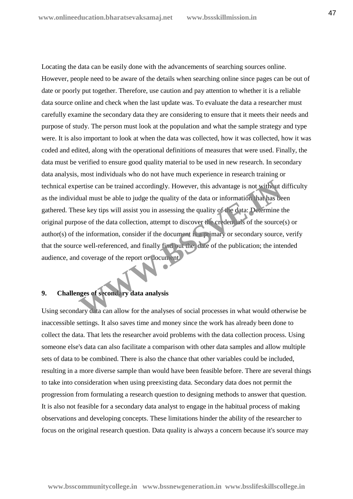Locating the data can be easily done with the advancements of searching sources online. However, people need to be aware of the details when searching online since pages can be out of date or poorly put together. Therefore, use caution and pay attention to whether it is a reliable data source online and check when the last update was. To evaluate the data a researcher must carefully examine the secondary data they are considering to ensure that it meets their needs and purpose of study. The person must look at the population and what the sample strategy and type were. It is also important to look at when the data was collected, how it was collected, how it was coded and edited, along with the operational definitions of measures that were used. Finally, the data must be verified to ensure good quality material to be used in new research. In secondary data analysis, most individuals who do not have much experience in research training or technical expertise can be trained accordingly. However, this advantage is not without difficulty as the individual must be able to judge the quality of the data or information that has been gathered. These key tips will assist you in assessing the quality of the data: Determine the original purpose of the data collection, attempt to discover the credentials of the source(s) or author(s) of the information, consider if the document is a primary or secondary source, verify that the source well-referenced, and finally find out the: date of the publication; the intended audience, and coverage of the report or document. ertise can be trained accordingly. However, this advantage is not without change must be able to judge the quality of the data or information hat has be see key tips will assist you in assessing the quality of the elatar:

# **9. Challenges of secondary data analysis**

Using secondary data can allow for the analyses of social processes in what would otherwise be inaccessible settings. It also saves time and money since the work has already been done to collect the data. That lets the researcher avoid problems with the data collection process. Using someone else's data can also facilitate a comparison with other data samples and allow multiple sets of data to be combined. There is also the chance that other variables could be included, resulting in a more diverse sample than would have been feasible before. There are several things to take into consideration when using preexisting data. Secondary data does not permit the progression from formulating a research question to designing methods to answer that question. It is also not feasible for a secondary data analyst to engage in the habitual process of making observations and developing concepts. These limitations hinder the ability of the researcher to focus on the original research question. Data quality is always a concern because it's source may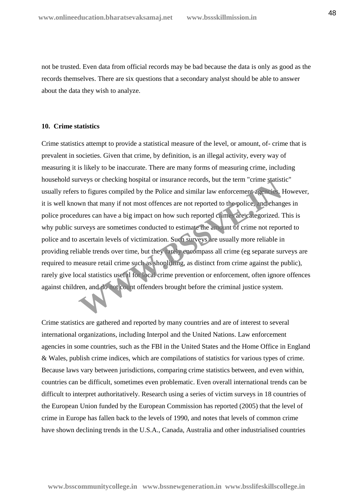not be trusted. Even data from official records may be bad because the data is only as good as the records themselves. There are six questions that a secondary analyst should be able to answer about the data they wish to analyze.

## **10. Crime statistics**

Crime statistics attempt to provide a statistical measure of the level, or amount, of- crime that is prevalent in societies. Given that crime, by definition, is an illegal activity, every way of measuring it is likely to be inaccurate. There are many forms of measuring crime, including household surveys or checking hospital or insurance records, but the term "crime statistic" usually refers to figures compiled by the Police and similar law enforcement agencies. However, it is well known that many if not most offences are not reported to the police, and changes in police procedures can have a big impact on how such reported crimes are categorized. This is why public surveys are sometimes conducted to estimate the amount of crime not reported to police and to ascertain levels of victimization. Such surveys are usually more reliable in providing reliable trends over time, but they rarely encompass all crime (eg separate surveys are required to measure retail crime such as shoplifting, as distinct from crime against the public), rarely give local statistics useful for local crime prevention or enforcement, often ignore offences against children, and do not count offenders brought before the criminal justice system. rowys or checking nospital or insurance records, but the term crime stands to figures compiled by the Police and similar law enforcement agencies. I<br>wn that many if not most offences are not reported to the police, and cha

Crime statistics are gathered and reported by many countries and are of interest to several international organizations, including Interpol and the United Nations. Law enforcement agencies in some countries, such as the FBI in the United States and the Home Office in England & Wales, publish crime indices, which are compilations of statistics for various types of crime. Because laws vary between jurisdictions, comparing crime statistics between, and even within, countries can be difficult, sometimes even problematic. Even overall international trends can be difficult to interpret authoritatively. Research using a series of victim surveys in 18 countries of the European Union funded by the European Commission has reported (2005) that the level of crime in Europe has fallen back to the levels of 1990, and notes that levels of common crime have shown declining trends in the U.S.A., Canada, Australia and other industrialised countries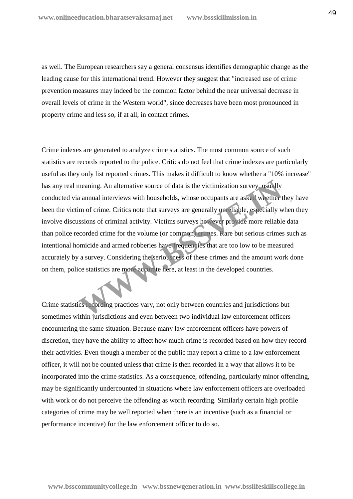as well. The European researchers say a general consensus identifies demographic change as the leading cause for this international trend. However they suggest that "increased use of crime prevention measures may indeed be the common factor behind the near universal decrease in overall levels of crime in the Western world", since decreases have been most pronounced in property crime and less so, if at all, in contact crimes.

Crime indexes are generated to analyze crime statistics. The most common source of such statistics are records reported to the police. Critics do not feel that crime indexes are particularly useful as they only list reported crimes. This makes it difficult to know whether a "10% increase" has any real meaning. An alternative source of data is the victimization survey, usually conducted via annual interviews with households, whose occupants are asked whether they have been the victim of crime. Critics note that surveys are generally unreliable, especially when they involve discussions of criminal activity. Victims surveys however provide more reliable data than police recorded crime for the volume (or common) crimes. Rare but serious crimes such as intentional homicide and armed robberies have frequencies that are too low to be measured accurately by a survey. Considering the seriousness of these crimes and the amount work done on them, police statistics are more accurate here, at least in the developed countries. meaning. An alternative source of data is the victimization survey, usually<br>a annual interviews with households, whose occupants are asked whether t<br>im of crime. Critics note that surveys are generally uncliable, especiall

Crime statistics recording practices vary, not only between countries and jurisdictions but sometimes within jurisdictions and even between two individual law enforcement officers encountering the same situation. Because many law enforcement officers have powers of discretion, they have the ability to affect how much crime is recorded based on how they record their activities. Even though a member of the public may report a crime to a law enforcement officer, it will not be counted unless that crime is then recorded in a way that allows it to be incorporated into the crime statistics. As a consequence, offending, particularly minor offending, may be significantly undercounted in situations where law enforcement officers are overloaded with work or do not perceive the offending as worth recording. Similarly certain high profile categories of crime may be well reported when there is an incentive (such as a financial or performance incentive) for the law enforcement officer to do so.

**www.bsscommunitycollege.in www.bssnewgeneration.in www.bsslifeskillscollege.in**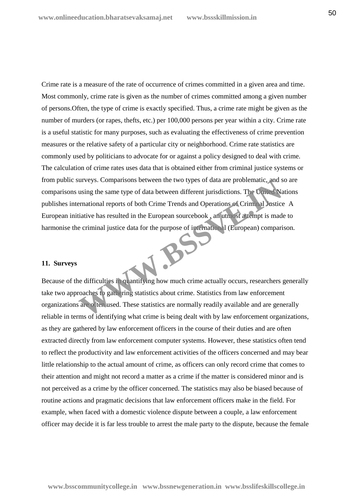Crime rate is a measure of the rate of occurrence of crimes committed in a given area and time. Most commonly, crime rate is given as the number of crimes committed among a given number of persons.Often, the type of crime is exactly specified. Thus, a crime rate might be given as the number of murders (or rapes, thefts, etc.) per 100,000 persons per year within a city. Crime rate is a useful statistic for many purposes, such as evaluating the effectiveness of crime prevention measures or the relative safety of a particular city or neighborhood. Crime rate statistics are commonly used by politicians to advocate for or against a policy designed to deal with crime. The calculation of crime rates uses data that is obtained either from criminal justice systems or from public surveys. Comparisons between the two types of data are problematic, and so are comparisons using the same type of data between different jurisdictions. The United Nations publishes international reports of both Crime Trends and Operations of Criminal Justice A European initiative has resulted in the European sourcebook , an utmost attempt is made to harmonise the criminal justice data for the purpose of international (European) comparison. 1.85

## **11. Surveys**

Because of the difficulties in quantifying how much crime actually occurs, researchers generally take two approaches to gathering statistics about crime. Statistics from law enforcement organizations are often used. These statistics are normally readily available and are generally reliable in terms of identifying what crime is being dealt with by law enforcement organizations, as they are gathered by law enforcement officers in the course of their duties and are often extracted directly from law enforcement computer systems. However, these statistics often tend to reflect the productivity and law enforcement activities of the officers concerned and may bear little relationship to the actual amount of crime, as officers can only record crime that comes to their attention and might not record a matter as a crime if the matter is considered minor and is not perceived as a crime by the officer concerned. The statistics may also be biased because of routine actions and pragmatic decisions that law enforcement officers make in the field. For example, when faced with a domestic violence dispute between a couple, a law enforcement officer may decide it is far less trouble to arrest the male party to the dispute, because the female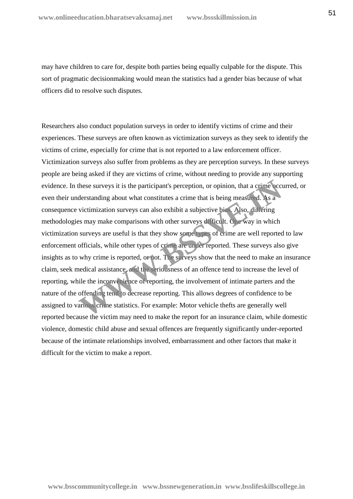may have children to care for, despite both parties being equally culpable for the dispute. This sort of pragmatic decisionmaking would mean the statistics had a gender bias because of what officers did to resolve such disputes.

Researchers also conduct population surveys in order to identify victims of crime and their experiences. These surveys are often known as victimization surveys as they seek to identify the victims of crime, especially for crime that is not reported to a law enforcement officer. Victimization surveys also suffer from problems as they are perception surveys. In these surveys people are being asked if they are victims of crime, without needing to provide any supporting evidence. In these surveys it is the participant's perception, or opinion, that a crime occurred, or even their understanding about what constitutes a crime that is being measured. As a consequence victimization surveys can also exhibit a subjective bias. Also, differing methodologies may make comparisons with other surveys difficult. One way in which victimization surveys are useful is that they show some types of crime are well reported to law enforcement officials, while other types of crime are under reported. These surveys also give insights as to why crime is reported, or not. The surveys show that the need to make an insurance claim, seek medical assistance, and the seriousness of an offence tend to increase the level of reporting, while the inconvenience of reporting, the involvement of intimate parters and the nature of the offending tend to decrease reporting. This allows degrees of confidence to be assigned to various crime statistics. For example: Motor vehicle thefts are generally well reported because the victim may need to make the report for an insurance claim, while domestic violence, domestic child abuse and sexual offences are frequently significantly under-reported because of the intimate relationships involved, embarrassment and other factors that make it difficult for the victim to make a report. these surveys it is the participant's perception, or opinion, that a crime occleristanding about what constitutes a crime that is being measured. As a victimization surveys can also exhibit a subjective bia. Also, differin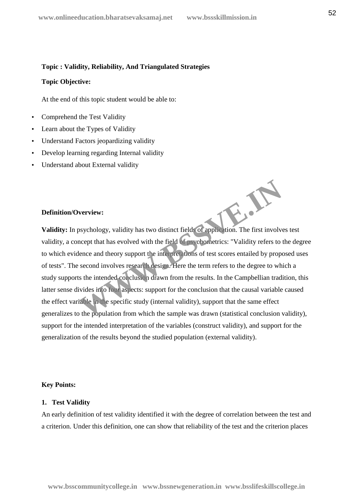# **Topic : Validity, Reliability, And Triangulated Strategies**

#### **Topic Objective:**

At the end of this topic student would be able to:

- Comprehend the Test Validity
- Learn about the Types of Validity
- Understand Factors jeopardizing validity
- Develop learning regarding Internal validity
- Understand about External validity

# **Definition/Overview:**

**Validity:** In psychology, validity has two distinct fields of application. The first involves test validity, a concept that has evolved with the field of psychometrics: "Validity refers to the degree to which evidence and theory support the interpretations of test scores entailed by proposed uses of tests". The second involves research design. Here the term refers to the degree to which a study supports the intended conclusion drawn from the results. In the Campbellian tradition, this latter sense divides into four aspects: support for the conclusion that the causal variable caused the effect variable in the specific study (internal validity), support that the same effect generalizes to the population from which the sample was drawn (statistical conclusion validity), support for the intended interpretation of the variables (construct validity), and support for the generalization of the results beyond the studied population (external validity). **Werview:**<br>
Superview:<br>
Superview:<br>
Superview:<br>
Superview:<br>
Superview:<br>
Superview:<br>
Superview:<br>
We distinct field of application. The first involve<br>
Increment that has evolved with the field of psychonetrics: "Validity ref

#### **Key Points:**

#### **1. Test Validity**

An early definition of test validity identified it with the degree of correlation between the test and a criterion. Under this definition, one can show that reliability of the test and the criterion places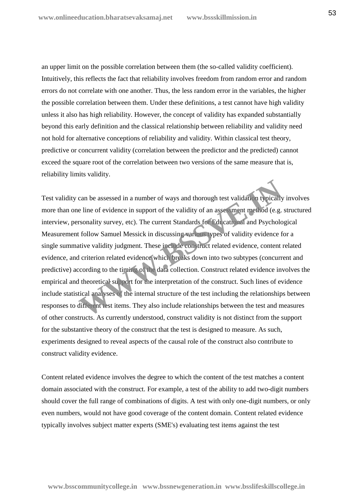an upper limit on the possible correlation between them (the so-called validity coefficient). Intuitively, this reflects the fact that reliability involves freedom from random error and random errors do not correlate with one another. Thus, the less random error in the variables, the higher the possible correlation between them. Under these definitions, a test cannot have high validity unless it also has high reliability. However, the concept of validity has expanded substantially beyond this early definition and the classical relationship between reliability and validity need not hold for alternative conceptions of reliability and validity. Within classical test theory, predictive or concurrent validity (correlation between the predictor and the predicted) cannot exceed the square root of the correlation between two versions of the same measure that is, reliability limits validity.

Test validity can be assessed in a number of ways and thorough test validation typically involves more than one line of evidence in support of the validity of an assessment method (e.g. structured interview, personality survey, etc). The current Standards for Educational and Psychological Measurement follow Samuel Messick in discussing various types of validity evidence for a single summative validity judgment. These include construct related evidence, content related evidence, and criterion related evidence which breaks down into two subtypes (concurrent and predictive) according to the timing of the data collection. Construct related evidence involves the empirical and theoretical support for the interpretation of the construct. Such lines of evidence include statistical analyses of the internal structure of the test including the relationships between responses to different test items. They also include relationships between the test and measures of other constructs. As currently understood, construct validity is not distinct from the support for the substantive theory of the construct that the test is designed to measure. As such, experiments designed to reveal aspects of the causal role of the construct also contribute to construct validity evidence. can be assessed in a number of ways and thorough test validation typically<br>e line of evidence in support of the validity of an assessment method (e.g.<br>rsonality survey, etc). The current Standards for Educational and Psych

Content related evidence involves the degree to which the content of the test matches a content domain associated with the construct. For example, a test of the ability to add two-digit numbers should cover the full range of combinations of digits. A test with only one-digit numbers, or only even numbers, would not have good coverage of the content domain. Content related evidence typically involves subject matter experts (SME's) evaluating test items against the test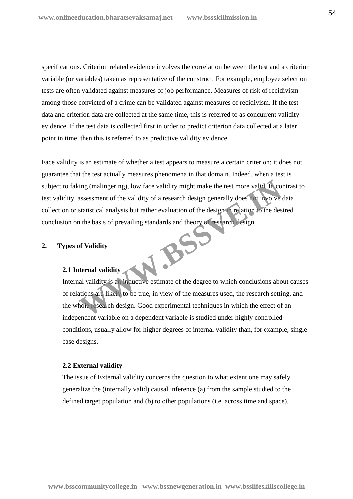specifications. Criterion related evidence involves the correlation between the test and a criterion variable (or variables) taken as representative of the construct. For example, employee selection tests are often validated against measures of job performance. Measures of risk of recidivism among those convicted of a crime can be validated against measures of recidivism. If the test data and criterion data are collected at the same time, this is referred to as concurrent validity evidence. If the test data is collected first in order to predict criterion data collected at a later point in time, then this is referred to as predictive validity evidence.

Face validity is an estimate of whether a test appears to measure a certain criterion; it does not guarantee that the test actually measures phenomena in that domain. Indeed, when a test is subject to faking (malingering), low face validity might make the test more valid. In contrast to test validity, assessment of the validity of a research design generally does not involve data collection or statistical analysis but rather evaluation of the design in relation to the desired conclusion on the basis of prevailing standards and theory of research design.  $B^{S^2}$ 

# **2. Types of Validity**

# **2.1 Internal validity**

Internal validity is an inductive estimate of the degree to which conclusions about causes of relations are likely to be true, in view of the measures used, the research setting, and the whole research design. Good experimental techniques in which the effect of an independent variable on a dependent variable is studied under highly controlled conditions, usually allow for higher degrees of internal validity than, for example, single case designs.

#### **2.2 External validity**

The issue of External validity concerns the question to what extent one may safely generalize the (internally valid) causal inference (a) from the sample studied to the defined target population and (b) to other populations (i.e. across time and space).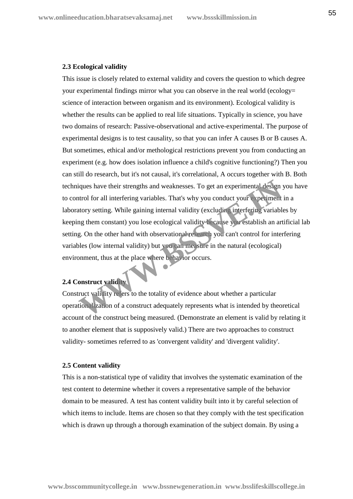#### **2.3 Ecological validity**

This issue is closely related to external validity and covers the question to which degree your experimental findings mirror what you can observe in the real world (ecology= science of interaction between organism and its environment). Ecological validity is whether the results can be applied to real life situations. Typically in science, you have two domains of research: Passive-observational and active-experimental. The purpose of experimental designs is to test causality, so that you can infer A causes B or B causes A. But sometimes, ethical and/or methological restrictions prevent you from conducting an experiment (e.g. how does isolation influence a child's cognitive functioning?) Then you can still do research, but it's not causal, it's correlational, A occurs together with B. Both techniques have their strengths and weaknesses. To get an experimental design you have to control for all interfering variables. That's why you conduct your experiment in a laboratory setting. While gaining internal validity (excluding interfering variables by keeping them constant) you lose ecological validity because you establish an artificial lab setting. On the other hand with observational research you can't control for interfering variables (low internal validity) but you can measure in the natural (ecological) environment, thus at the place where behavior occurs. iques have their strengths and weaknesses. To get an experimental design<br>throl for all interfering variables. That's why you conduct your experiment<br>atory setting. While gaining internal validity (excluding interfering var

# **2.4 Construct validity**

Construct validity refers to the totality of evidence about whether a particular operationalization of a construct adequately represents what is intended by theoretical account of the construct being measured. (Demonstrate an element is valid by relating it to another element that is supposively valid.) There are two approaches to construct validity- sometimes referred to as 'convergent validity' and 'divergent validity'.

#### **2.5 Content validity**

This is a non-statistical type of validity that involves the systematic examination of the test content to determine whether it covers a representative sample of the behavior domain to be measured. A test has content validity built into it by careful selection of which items to include. Items are chosen so that they comply with the test specification which is drawn up through a thorough examination of the subject domain. By using a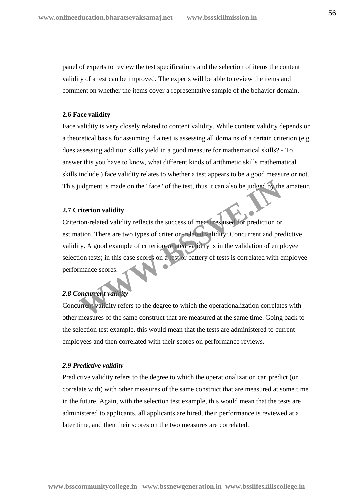panel of experts to review the test specifications and the selection of items the content validity of a test can be improved. The experts will be able to review the items and comment on whether the items cover a representative sample of the behavior domain.

## **2.6 Face validity**

Face validity is very closely related to content validity. While content validity depends on a theoretical basis for assuming if a test is assessing all domains of a certain criterion (e.g. does assessing addition skills yield in a good measure for mathematical skills? - To answer this you have to know, what different kinds of arithmetic skills mathematical skills include ) face validity relates to whether a test appears to be a good measure or not. This judgment is made on the "face" of the test, thus it can also be judged by the amateur.

## **2.7 Criterion validity**

Criterion-related validity reflects the success of measures used for prediction or estimation. There are two types of criterion-related validity: Concurrent and predictive validity. A good example of criterion-related validity is in the validation of employee selection tests; in this case scores on a test or battery of tests is correlated with employee performance scores. and the "face" of the test, thus it can also be judged by the **riterion validity**<br> **WE are also to prediction** validity<br>
titerion validity<br>
tion-related validity reflects the success of measures used for prediction or<br>
the

# *2.8 Concurrent validity*

Concurrent validity refers to the degree to which the operationalization correlates with other measures of the same construct that are measured at the same time. Going back to the selection test example, this would mean that the tests are administered to current employees and then correlated with their scores on performance reviews.

# *2.9 Predictive validity*

Predictive validity refers to the degree to which the operationalization can predict (or correlate with) with other measures of the same construct that are measured at some time in the future. Again, with the selection test example, this would mean that the tests are administered to applicants, all applicants are hired, their performance is reviewed at a later time, and then their scores on the two measures are correlated.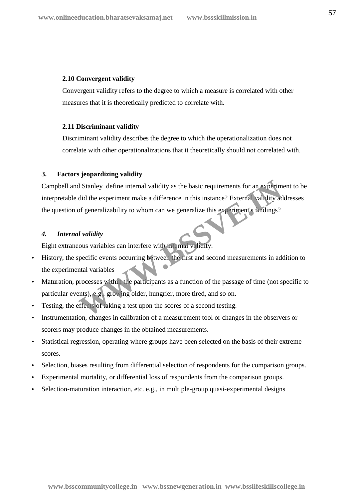# **2.10 Convergent validity**

Convergent validity refers to the degree to which a measure is correlated with other measures that it is theoretically predicted to correlate with.

# **2.11 Discriminant validity**

Discriminant validity describes the degree to which the operationalization does not correlate with other operationalizations that it theoretically should not correlated with.

# **3. Factors jeopardizing validity**

Campbell and Stanley define internal validity as the basic requirements for an experiment to be interpretable did the experiment make a difference in this instance? External validity addresses the question of generalizability to whom can we generalize this experiment's findings? If Stanley define internal validity as the basic requirements for an experiment<br>did the experiment make a difference in this instance? External validity addition<br>of generalizability to whom can we generalize this experimen

# *4. Internal validity*

Eight extraneous variables can interfere with internal validity:

- History, the specific events occurring between the first and second measurements in addition to the experimental variables
- Maturation, processes within the participants as a function of the passage of time (not specific to particular events), e.g., growing older, hungrier, more tired, and so on.
- Testing, the effects of taking a test upon the scores of a second testing.
- Instrumentation, changes in calibration of a measurement tool or changes in the observers or scorers may produce changes in the obtained measurements.
- Statistical regression, operating where groups have been selected on the basis of their extreme scores.
- Selection, biases resulting from differential selection of respondents for the comparison groups.
- Experimental mortality, or differential loss of respondents from the comparison groups.
- Selection-maturation interaction, etc. e.g., in multiple-group quasi-experimental designs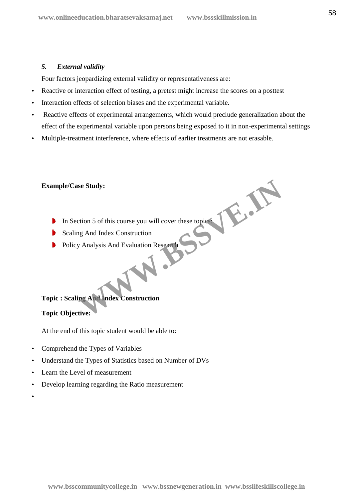# *5. External validity*

Four factors jeopardizing external validity or representativeness are:

- Reactive or interaction effect of testing, a pretest might increase the scores on a posttest
- Interaction effects of selection biases and the experimental variable.
- Reactive effects of experimental arrangements, which would preclude generalization about the effect of the experimental variable upon persons being exposed to it in non-experimental settings
- Multiple-treatment interference, where effects of earlier treatments are not erasable.

#### **Example/Case Study:**

- In Section 5 of this course you will cover these topics: See Study:<br>
Etion 5 of this course you will cover these topics<br>
Manalysis And Evaluation Research<br>
Manalysis And Evaluation Research<br>
Manalysis And Evaluation Research<br>
We Apple Index Construction<br>
tive:
- Scaling And Index Construction
- Policy Analysis And Evaluation Research

# **Topic : Scaling And Index Construction**

# **Topic Objective:**

At the end of this topic student would be able to:

- Comprehend the Types of Variables
- Understand the Types of Statistics based on Number of DVs
- Learn the Level of measurement
- Develop learning regarding the Ratio measurement
- $\bullet$  and  $\bullet$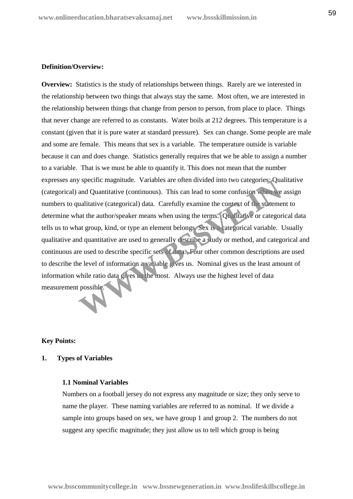### **Definition/Overview:**

**Overview:** Statistics is the study of relationships between things. Rarely are we interested in the relationship between two things that always stay the same. Most often, we are interested in the relationship between things that change from person to person, from place to place. Things that never change are referred to as constants. Water boils at 212 degrees. This temperature is a constant (given that it is pure water at standard pressure). Sex can change. Some people are male and some are female. This means that sex is a variable. The temperature outside is variable because it can and does change. Statistics generally requires that we be able to assign a number to a variable. That is we must be able to quantify it. This does not mean that the number expresses any specific magnitude. Variables are often divided into two categories: Qualitative (categorical) and Quantitative (continuous). This can lead to some confusion when we assign numbers to qualitative (categorical) data. Carefully examine the context of the statement to determine what the author/speaker means when using the terms. Qualitative or categorical data tells us to what group, kind, or type an element belongs. Sex is a categorical variable. Usually qualitative and quantitative are used to generally describe a study or method, and categorical and continuous are used to describe specific sets of data. Four other common descriptions are used to describe the level of information a variable gives us. Nominal gives us the least amount of information while ratio data gives us the most. Always use the highest level of data measurement possible. specific magnitude. Variables are often divided into two categories Qua<br>and Quantitative (continuous). This can lead to some confusion when we<br>ualitative (categorical) data. Carefully examine the context of the stateme<br>aat

## **Key Points:**

#### **1. Types of Variables**

### **1.1 Nominal Variables**

Numbers on a football jersey do not express any magnitude or size; they only serve to name the player. These naming variables are referred to as nominal. If we divide a sample into groups based on sex, we have group 1 and group 2. The numbers do not suggest any specific magnitude; they just allow us to tell which group is being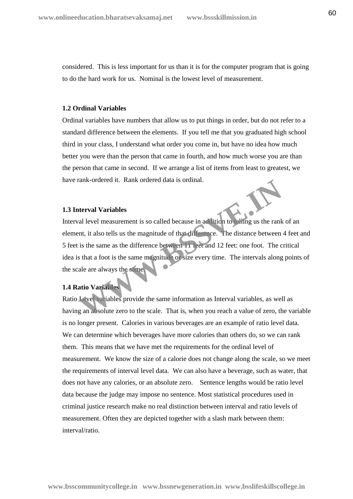considered. This is less important for us than it is for the computer program that is going to do the hard work for us. Nominal is the lowest level of measurement.

#### **1.2 Ordinal Variables**

Ordinal variables have numbers that allow us to put things in order, but do not refer to a standard difference between the elements. If you tell me that you graduated high school third in your class, I understand what order you come in, but have no idea how much better you were than the person that came in fourth, and how much worse you are than the person that came in second. If we arrange a list of items from least to greatest, we have rank-ordered it. Rank ordered data is ordinal.

#### **1.3 Interval Variables**

Interval level measurement is so called because in addition to telling us the rank of an element, it also tells us the magnitude of that difference. The distance between 4 feet and 5 feet is the same as the difference between 11 feet and 12 feet: one foot. The critical idea is that a foot is the same magnitude or size every time. The intervals along points of the scale are always the same. Transformation and the same information as Interval variables<br>
Material I level measurement is so called because in addition to thing us the rank<br>
Int, it also tells us the magnitude of that difference. The distance betwee

# **1.4 Ratio Variables**

Ratio Level variables provide the same information as Interval variables, as well as having an absolute zero to the scale. That is, when you reach a value of zero, the variable is no longer present. Calories in various beverages are an example of ratio level data. We can determine which beverages have more calories than others do, so we can rank them. This means that we have met the requirements for the ordinal level of measurement. We know the size of a calorie does not change along the scale, so we meet the requirements of interval level data. We can also have a beverage, such as water, that does not have any calories, or an absolute zero. Sentence lengths would be ratio level data because the judge may impose no sentence. Most statistical procedures used in criminal justice research make no real distinction between interval and ratio levels of measurement. Often they are depicted together with a slash mark between them: interval/ratio.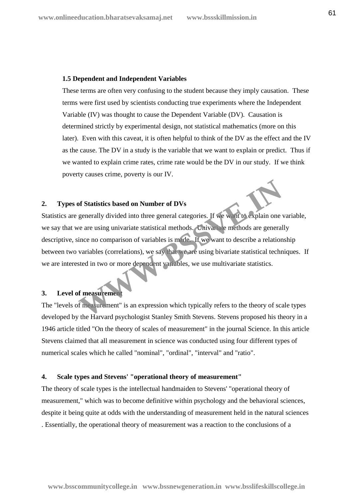## **1.5 Dependent and Independent Variables**

These terms are often very confusing to the student because they imply causation. These terms were first used by scientists conducting true experiments where the Independent Variable (IV) was thought to cause the Dependent Variable (DV). Causation is determined strictly by experimental design, not statistical mathematics (more on this later). Even with this caveat, it is often helpful to think of the DV as the effect and the IV as the cause. The DV in a study is the variable that we want to explain or predict. Thus if we wanted to explain crime rates, crime rate would be the DV in our study. If we think poverty causes crime, poverty is our IV.

## **2. Types of Statistics based on Number of DVs**

Statistics are generally divided into three general categories. If we want to explain one variable, we say that we are using univariate statistical methods. Univariate methods are generally descriptive, since no comparison of variables is made. If we want to describe a relationship between two variables (correlations), we say that we are using bivariate statistical techniques. If we are interested in two or more dependent variables, we use multivariate statistics. of Statistics based on Number of DVs<br>generally divided into three general categories. If we want to explain one<br>ve are using univariate statistical methods. Univariate methods are general<br>ince no comparison of variables is

# **3. Level of measurement**

The "levels of measurement" is an expression which typically refers to the theory of scale types developed by the Harvard psychologist Stanley Smith Stevens. Stevens proposed his theory in a 1946 article titled "On the theory of scales of measurement" in the journal Science. In this article Stevens claimed that all measurement in science was conducted using four different types of numerical scales which he called "nominal", "ordinal", "interval" and "ratio".

#### **4. Scale types and Stevens' "operational theory of measurement"**

The theory of scale types is the intellectual handmaiden to Stevens' "operational theory of measurement," which was to become definitive within psychology and the behavioral sciences, despite it being quite at odds with the understanding of measurement held in the natural sciences . Essentially, the operational theory of measurement was a reaction to the conclusions of a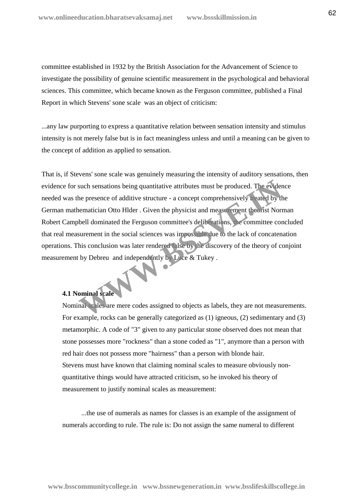committee established in 1932 by the British Association for the Advancement of Science to investigate the possibility of genuine scientific measurement in the psychological and behavioral sciences. This committee, which became known as the Ferguson committee, published a Final Report in which Stevens' sone scale was an object of criticism:

...any law purporting to express a quantitative relation between sensation intensity and stimulus intensity is not merely false but is in fact meaningless unless and until a meaning can be given to the concept of addition as applied to sensation.

That is, if Stevens' sone scale was genuinely measuring the intensity of auditory sensations, then evidence for such sensations being quantitative attributes must be produced. The evidence needed was the presence of additive structure - a concept comprehensively treated by the German mathematician Otto Hlder . Given the physicist and measurement theorist Norman Robert Campbell dominated the Ferguson committee's deliberations, the committee concluded that real measurement in the social sciences was impossible due to the lack of concatenation operations. This conclusion was later rendered false by the discovery of the theory of conjoint measurement by Debreu and independently by Luce & Tukey . such sensations being quantitative attributes must be produced. The evident<br>the presence of additive structure - a concept comprehensively traded by the<br>matician Otto Hider . Given the physicist and measurement theorist No

# **4.1 Nominal scale**

Nominal scales are mere codes assigned to objects as labels, they are not measurements. For example, rocks can be generally categorized as (1) igneous, (2) sedimentary and (3) metamorphic. A code of "3" given to any particular stone observed does not mean that stone possesses more "rockness" than a stone coded as "1", anymore than a person with red hair does not possess more "hairness" than a person with blonde hair. Stevens must have known that claiming nominal scales to measure obviously non quantitative things would have attracted criticism, so he invoked his theory of measurement to justify nominal scales as measurement:

...the use of numerals as names for classes is an example of the assignment of numerals according to rule. The rule is: Do not assign the same numeral to different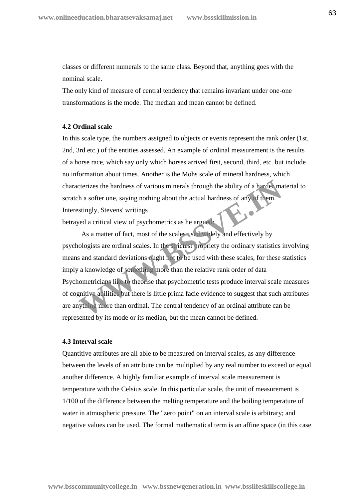classes or different numerals to the same class. Beyond that, anything goes with the nominal scale.

The only kind of measure of central tendency that remains invariant under one-one transformations is the mode. The median and mean cannot be defined.

# **4.2 Ordinal scale**

In this scale type, the numbers assigned to objects or events represent the rank order (1st, 2nd, 3rd etc.) of the entities assessed. An example of ordinal measurement is the results of a horse race, which say only which horses arrived first, second, third, etc. but include no information about times. Another is the Mohs scale of mineral hardness, which characterizes the hardness of various minerals through the ability of a harder material to scratch a softer one, saying nothing about the actual hardness of any of them. Interestingly, Stevens' writings

betrayed a critical view of psychometrics as he argued:

As a matter of fact, most of the scales used widely and effectively by psychologists are ordinal scales. In the strictest propriety the ordinary statistics involving means and standard deviations ought not to be used with these scales, for these statistics imply a knowledge of something more than the relative rank order of data Psychometricians like to theorise that psychometric tests produce interval scale measures of cognitive abilities but there is little prima facie evidence to suggest that such attributes are anything more than ordinal. The central tendency of an ordinal attribute can be represented by its mode or its median, but the mean cannot be defined. cterizes the hardness of various minerals through the ability of a harder mandemant and a softer one, saying nothing about the actual hardness of any of them.<br>
Stingly, Stevens' writings<br>
wed a critical view of psychometri

# **4.3 Interval scale**

Quantitive attributes are all able to be measured on interval scales, as any difference between the levels of an attribute can be multiplied by any real number to exceed or equal another difference. A highly familiar example of interval scale measurement is temperature with the Celsius scale. In this particular scale, the unit of measurement is 1/100 of the difference between the melting temperature and the boiling temperature of water in atmospheric pressure. The "zero point" on an interval scale is arbitrary; and negative values can be used. The formal mathematical term is an affine space (in this case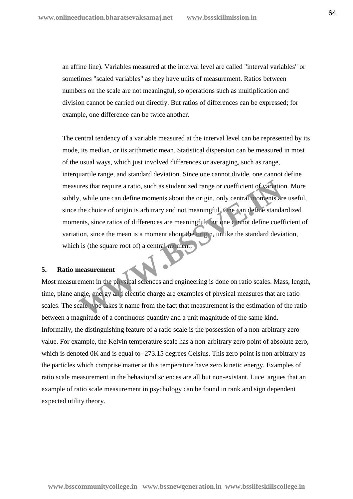an affine line). Variables measured at the interval level are called "interval variables" or sometimes "scaled variables" as they have units of measurement. Ratios between numbers on the scale are not meaningful, so operations such as multiplication and division cannot be carried out directly. But ratios of differences can be expressed; for example, one difference can be twice another.

The central tendency of a variable measured at the interval level can be represented by its mode, its median, or its arithmetic mean. Statistical dispersion can be measured in most of the usual ways, which just involved differences or averaging, such as range, interquartile range, and standard deviation. Since one cannot divide, one cannot define measures that require a ratio, such as studentized range or coefficient of variation. More subtly, while one can define moments about the origin, only central moments are useful, since the choice of origin is arbitrary and not meaningful. One can define standardized moments, since ratios of differences are meaningful, but one cannot define coefficient of variation, since the mean is a moment about the origin, unlike the standard deviation, which is (the square root of) a central moment. The state require a ratio, such as studentized range or coefficient of variation<br>
while one can define moments about the origin, only central moments at<br>
the choice of origin is arbitrary and not meaningful. One can define

#### **5. Ratio measurement**

Most measurement in the physical sciences and engineering is done on ratio scales. Mass, length, time, plane angle, energy and electric charge are examples of physical measures that are ratio scales. The scale type takes it name from the fact that measurement is the estimation of the ratio between a magnitude of a continuous quantity and a unit magnitude of the same kind. Informally, the distinguishing feature of a ratio scale is the possession of a non-arbitrary zero value. For example, the Kelvin temperature scale has a non-arbitrary zero point of absolute zero, which is denoted 0K and is equal to -273.15 degrees Celsius. This zero point is non arbitrary as the particles which comprise matter at this temperature have zero kinetic energy. Examples of ratio scale measurement in the behavioral sciences are all but non-existant. Luce argues that an example of ratio scale measurement in psychology can be found in rank and sign dependent expected utility theory.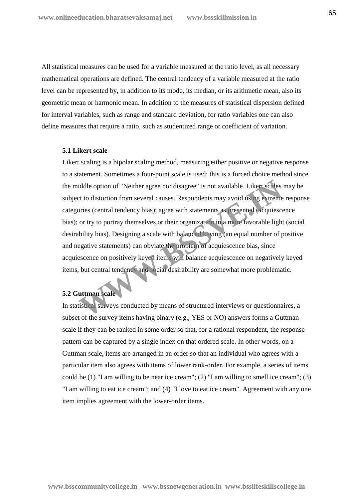All statistical measures can be used for a variable measured at the ratio level, as all necessary mathematical operations are defined. The central tendency of a variable measured at the ratio level can be represented by, in addition to its mode, its median, or its arithmetic mean, also its geometric mean or harmonic mean. In addition to the measures of statistical dispersion defined for interval variables, such as range and standard deviation, for ratio variables one can also define measures that require a ratio, such as studentized range or coefficient of variation.

#### **5.1 Likert scale**

Likert scaling is a bipolar scaling method, measuring either positive or negative response to a statement. Sometimes a four-point scale is used; this is a forced choice method since the middle option of "Neither agree nor disagree" is not available. Likert scales may be subject to distortion from several causes. Respondents may avoid using extreme response categories (central tendency bias); agree with statements as presented (acquiescence bias); or try to portray themselves or their organization in a more favorable light (social desirability bias). Designing a scale with balanced keying (an equal number of positive and negative statements) can obviate the problem of acquiescence bias, since acquiescence on positively keyed items will balance acquiescence on negatively keyed items, but central tendency and social desirability are somewhat more problematic. iddle option of "Neither agree nor disagree" is not available. Likert scales<br>tt to distortion from several causes. Respondents may avoid using extreme<br>ories (central tendency bias); agree with statements as presented (acqu

# **5.2 Guttman scale**

In statistical surveys conducted by means of structured interviews or questionnaires, a subset of the survey items having binary (e.g., YES or NO) answers forms a Guttman scale if they can be ranked in some order so that, for a rational respondent, the response pattern can be captured by a single index on that ordered scale. In other words, on a Guttman scale, items are arranged in an order so that an individual who agrees with a particular item also agrees with items of lower rank-order. For example, a series of items could be (1) "I am willing to be near ice cream"; (2) "I am willing to smell ice cream"; (3) "I am willing to eat ice cream"; and (4) "I love to eat ice cream". Agreement with any one item implies agreement with the lower-order items.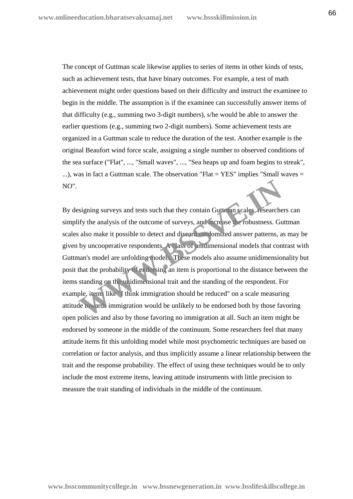The concept of Guttman scale likewise applies to series of items in other kinds of tests, such as achievement tests, that have binary outcomes. For example, a test of math achievement might order questions based on their difficulty and instruct the examinee to begin in the middle. The assumption is if the examinee can successfully answer items of that difficulty (e.g., summing two 3-digit numbers), s/he would be able to answer the earlier questions (e.g., summing two 2-digit numbers). Some achievement tests are organized in a Guttman scale to reduce the duration of the test. Another example is the original Beaufort wind force scale, assigning a single number to observed conditions of the sea surface ("Flat", ..., "Small waves", ..., "Sea heaps up and foam begins to streak", ...), was in fact a Guttman scale. The observation "Flat  $=$  YES" implies "Small waves  $=$ NO".

By designing surveys and tests such that they contain Guttman scales, researchers can simplify the analysis of the outcome of surveys, and increase the robustness. Guttman scales also make it possible to detect and discard randomized answer patterns, as may be given by uncooperative respondents. A class of unidimensional models that contrast with Guttman's model are unfolding models. These models also assume unidimensionality but posit that the probability of endorsing an item is proportional to the distance between the items standing on the unidimensional trait and the standing of the respondent. For example, items like "I think immigration should be reduced" on a scale measuring attitude towards immigration would be unlikely to be endorsed both by those favoring open policies and also by those favoring no immigration at all. Such an item might be endorsed by someone in the middle of the continuum. Some researchers feel that many attitude items fit this unfolding model while most psychometric techniques are based on correlation or factor analysis, and thus implicitly assume a linear relationship between the trait and the response probability. The effect of using these techniques would be to only include the most extreme items, leaving attitude instruments with little precision to measure the trait standing of individuals in the middle of the continuum. Signing surveys and tests such that they contain Gutto an scales. researches if y the analysis of the outcome of surveys, and there are the robustness. Gut also make it possible to detect and discard randomized answer patt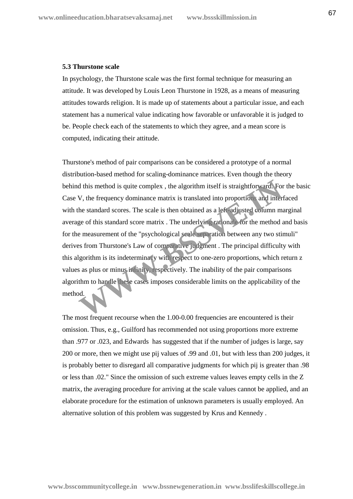#### **5.3 Thurstone scale**

In psychology, the Thurstone scale was the first formal technique for measuring an attitude. It was developed by Louis Leon Thurstone in 1928, as a means of measuring attitudes towards religion. It is made up of statements about a particular issue, and each statement has a numerical value indicating how favorable or unfavorable it is judged to be. People check each of the statements to which they agree, and a mean score is computed, indicating their attitude.

Thurstone's method of pair comparisons can be considered a prototype of a normal distribution-based method for scaling-dominance matrices. Even though the theory behind this method is quite complex , the algorithm itself is straightforward. For the basic Case V, the frequency dominance matrix is translated into proportions and interfaced with the standard scores. The scale is then obtained as a left-adjusted column marginal average of this standard score matrix . The underlying rationale for the method and basis for the measurement of the "psychological scale separation between any two stimuli" derives from Thurstone's Law of comparative judgment . The principal difficulty with this algorithm is its indeterminacy with respect to one-zero proportions, which return z values as plus or minus infinity, respectively. The inability of the pair comparisons algorithm to handle these cases imposes considerable limits on the applicability of the method. d this method is quite complex, the algorithm itself is straightforward. For W, the frequency dominance matrix is translated into proportions and inter-<br>the standard scores. The scale is then obtained as a left-adjusted co

The most frequent recourse when the 1.00-0.00 frequencies are encountered is their omission. Thus, e.g., Guilford has recommended not using proportions more extreme than .977 or .023, and Edwards has suggested that if the number of judges is large, say 200 or more, then we might use pij values of .99 and .01, but with less than 200 judges, it is probably better to disregard all comparative judgments for which pij is greater than .98 or less than .02." Since the omission of such extreme values leaves empty cells in the Z matrix, the averaging procedure for arriving at the scale values cannot be applied, and an elaborate procedure for the estimation of unknown parameters is usually employed. An alternative solution of this problem was suggested by Krus and Kennedy .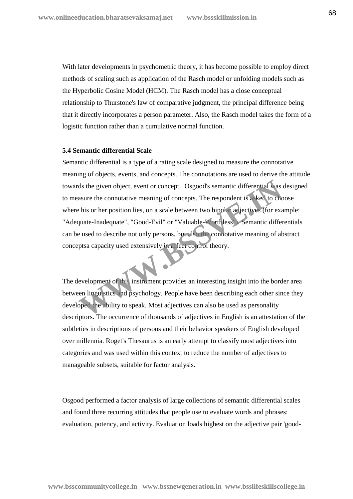With later developments in psychometric theory, it has become possible to employ direct methods of scaling such as application of the Rasch model or unfolding models such as the Hyperbolic Cosine Model (HCM). The Rasch model has a close conceptual relationship to Thurstone's law of comparative judgment, the principal difference being that it directly incorporates a person parameter. Also, the Rasch model takes the form of a logistic function rather than a cumulative normal function.

#### **5.4 Semantic differential Scale**

Semantic differential is a type of a rating scale designed to measure the connotative meaning of objects, events, and concepts. The connotations are used to derive the attitude towards the given object, event or concept. Osgood's semantic differential was designed to measure the connotative meaning of concepts. The respondent is asked to choose where his or her position lies, on a scale between two bipolar adjectives (for example: "Adequate-Inadequate", "Good-Evil" or "Valuable-Worthless"). Semantic differentials can be used to describe not only persons, but also the connotative meaning of abstract conceptsa capacity used extensively in affect control theory. ds the given object, event or concept. Osgood's semantic differential was<br>asure the connotative meaning of concepts. The respondent is a ked to che<br>b his or her position lies, on a scale between two bipolar adjectives (for

The development of this instrument provides an interesting insight into the border area between linguistics and psychology. People have been describing each other since they developed the ability to speak. Most adjectives can also be used as personality descriptors. The occurrence of thousands of adjectives in English is an attestation of the subtleties in descriptions of persons and their behavior speakers of English developed over millennia. Roget's Thesaurus is an early attempt to classify most adjectives into categories and was used within this context to reduce the number of adjectives to manageable subsets, suitable for factor analysis.

Osgood performed a factor analysis of large collections of semantic differential scales and found three recurring attitudes that people use to evaluate words and phrases: evaluation, potency, and activity. Evaluation loads highest on the adjective pair 'good-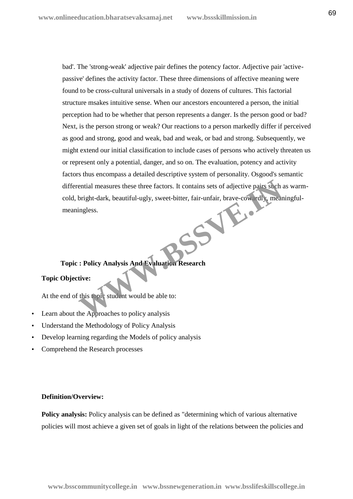bad'. The 'strong-weak' adjective pair defines the potency factor. Adjective pair 'active passive' defines the activity factor. These three dimensions of affective meaning were found to be cross-cultural universals in a study of dozens of cultures. This factorial structure msakes intuitive sense. When our ancestors encountered a person, the initial perception had to be whether that person represents a danger. Is the person good or bad? Next, is the person strong or weak? Our reactions to a person markedly differ if perceived as good and strong, good and weak, bad and weak, or bad and strong. Subsequently, we might extend our initial classification to include cases of persons who actively threaten us or represent only a potential, danger, and so on. The evaluation, potency and activity factors thus encompass a detailed descriptive system of personality. Osgood's semantic differential measures these three factors. It contains sets of adjective pairs such as warm cold, bright-dark, beautiful-ugly, sweet-bitter, fair-unfair, brave-cowardly, meaningful meaningless. WWW.BSSV.

# **Topic : Policy Analysis And Evaluation Research**

# **Topic Objective:**

At the end of this topic student would be able to:

- Learn about the Approaches to policy analysis
- Understand the Methodology of Policy Analysis
- Develop learning regarding the Models of policy analysis
- Comprehend the Research processes

#### **Definition/Overview:**

**Policy analysis:** Policy analysis can be defined as "determining which of various alternative policies will most achieve a given set of goals in light of the relations between the policies and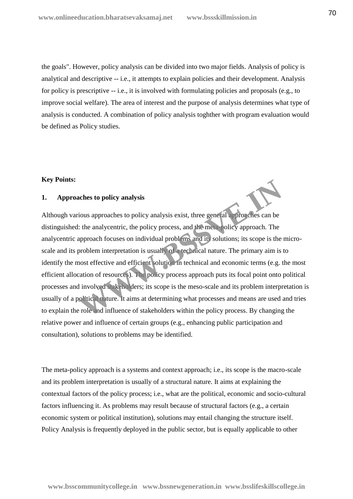the goals". However, policy analysis can be divided into two major fields. Analysis of policy is analytical and descriptive -- i.e., it attempts to explain policies and their development. Analysis for policy is prescriptive -- i.e., it is involved with formulating policies and proposals (e.g., to improve social welfare). The area of interest and the purpose of analysis determines what type of analysis is conducted. A combination of policy analysis toghther with program evaluation would be defined as Policy studies.

# **Key Points:**

## **1. Approaches to policy analysis**

Although various approaches to policy analysis exist, three general approaches can be distinguished: the analycentric, the policy process, and the meta-policy approach. The analycentric approach focuses on individual problems and its solutions; its scope is the microscale and its problem interpretation is usually of a technical nature. The primary aim is to identify the most effective and efficient solution in technical and economic terms (e.g. the most efficient allocation of resources). The policy process approach puts its focal point onto political processes and involved stakeholders; its scope is the meso-scale and its problem interpretation is usually of a political nature. It aims at determining what processes and means are used and tries to explain the role and influence of stakeholders within the policy process. By changing the relative power and influence of certain groups (e.g., enhancing public participation and consultation), solutions to problems may be identified. aches to policy analysis<br>
ious approaches to policy analysis exist, three general approaches can be<br>  $\therefore$  the analycentric, the policy process, and the meta-policy approach. The<br>
approach focuses on individual problems an

The meta-policy approach is a systems and context approach; i.e., its scope is the macro-scale and its problem interpretation is usually of a structural nature. It aims at explaining the contextual factors of the policy process; i.e., what are the political, economic and socio-cultural factors influencing it. As problems may result because of structural factors (e.g., a certain economic system or political institution), solutions may entail changing the structure itself. Policy Analysis is frequently deployed in the public sector, but is equally applicable to other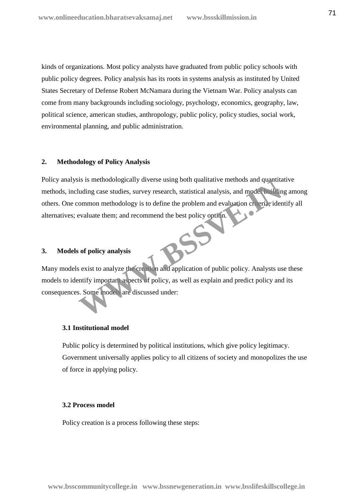kinds of organizations. Most policy analysts have graduated from public policy schools with public policy degrees. Policy analysis has its roots in systems analysis as instituted by United States Secretary of Defense Robert McNamara during the Vietnam War. Policy analysts can come from many backgrounds including sociology, psychology, economics, geography, law, political science, american studies, anthropology, public policy, policy studies, social work, environmental planning, and public administration.

#### **2. Methodology of Policy Analysis**

Policy analysis is methodologically diverse using both qualitative methods and quantitative methods, including case studies, survey research, statistical analysis, and model building among others. One common methodology is to define the problem and evaluation criteria; identify all alternatives; evaluate them; and recommend the best policy option. Is is methodologically diverse using both quantum ve methods and quantum<br>
uding case studies, survey research, statistical analysis, and model build<br>
in ommon methodology is to define the problem and evaluation on erra;<br>
v

# **3. Models of policy analysis**

Many models exist to analyze the creation and application of public policy. Analysts use these models to identify important aspects of policy, as well as explain and predict policy and its consequences. Some models are discussed under:

#### **3.1 Institutional model**

Public policy is determined by political institutions, which give policy legitimacy. Government universally applies policy to all citizens of society and monopolizes the use of force in applying policy.

#### **3.2 Process model**

Policy creation is a process following these steps: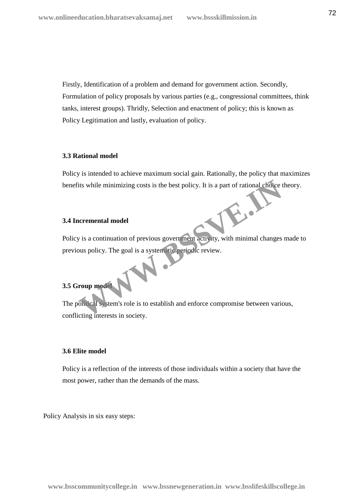Firstly, Identification of a problem and demand for government action. Secondly, Formulation of policy proposals by various parties (e.g., congressional committees, think tanks, interest groups). Thridly, Selection and enactment of policy; this is known as Policy Legitimation and lastly, evaluation of policy.

#### **3.3 Rational model**

Policy is intended to achieve maximum social gain. Rationally, the policy that maximizes benefits while minimizing costs is the best policy. It is a part of rational choice theory.

#### **3.4 Incremental model**

Policy is a continuation of previous government activity, with minimal changes made to previous policy. The goal is a systematic periodic review. The state is while minimizing costs is the best policy. It is a part of rational choice the term of the state of the state of the state of the state of the state of the state of the state of the state of the state of the s

# **3.5 Group model**

The political system's role is to establish and enforce compromise between various, conflicting interests in society.

## **3.6 Elite model**

Policy is a reflection of the interests of those individuals within a society that have the most power, rather than the demands of the mass.

Policy Analysis in six easy steps: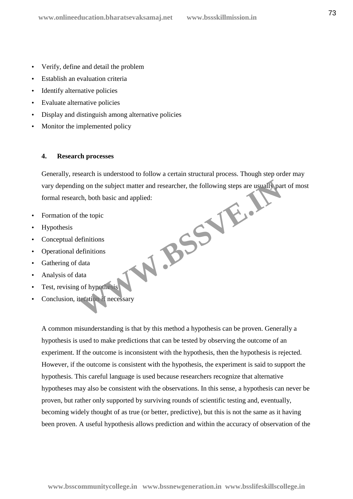- Verify, define and detail the problem
- Establish an evaluation criteria
- Identify alternative policies
- Evaluate alternative policies
- Display and distinguish among alternative policies
- Monitor the implemented policy

## **4. Research processes**

Generally, research is understood to follow a certain structural process. Though step order may vary depending on the subject matter and researcher, the following steps are usually part of most formal research, both basic and applied: W.BSSVE.

- Formation of the topic
- Hypothesis
- Conceptual definitions
- Operational definitions
- Gathering of data
- Analysis of data
- Test, revising of hypothesis
- Conclusion, iteration if necessary

A common misunderstanding is that by this method a hypothesis can be proven. Generally a hypothesis is used to make predictions that can be tested by observing the outcome of an experiment. If the outcome is inconsistent with the hypothesis, then the hypothesis is rejected. However, if the outcome is consistent with the hypothesis, the experiment is said to support the hypothesis. This careful language is used because researchers recognize that alternative hypotheses may also be consistent with the observations. In this sense, a hypothesis can never be proven, but rather only supported by surviving rounds of scientific testing and, eventually, becoming widely thought of as true (or better, predictive), but this is not the same as it having been proven. A useful hypothesis allows prediction and within the accuracy of observation of the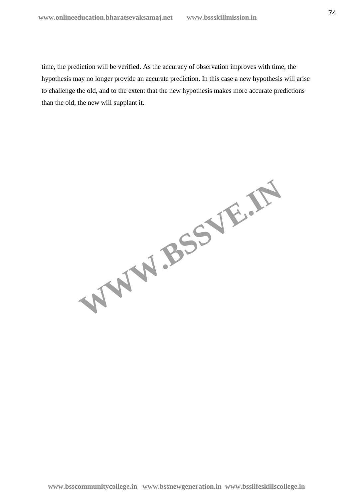time, the prediction will be verified. As the accuracy of observation improves with time, the hypothesis may no longer provide an accurate prediction. In this case a new hypothesis will arise to challenge the old, and to the extent that the new hypothesis makes more accurate predictions than the old, the new will supplant it.